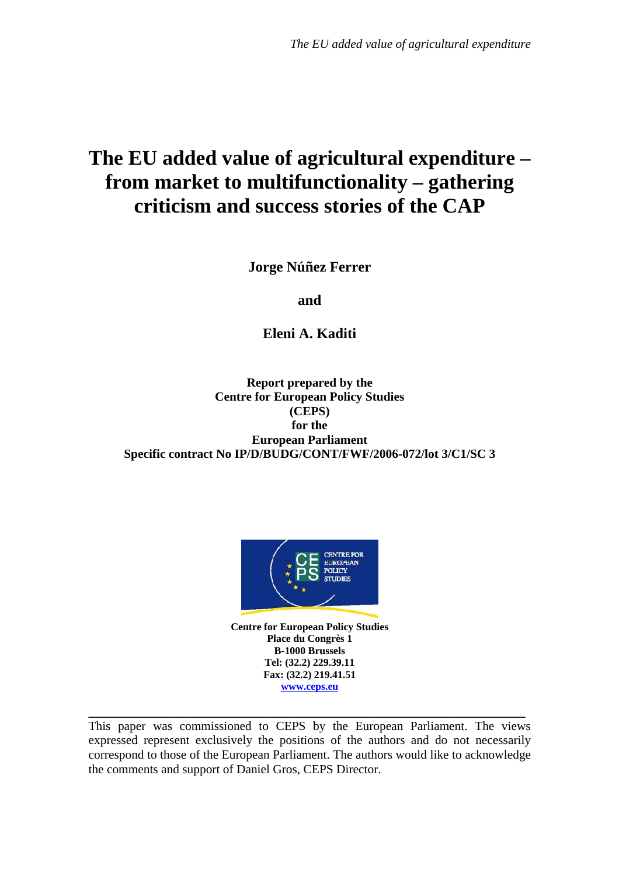# **The EU added value of agricultural expenditure – from market to multifunctionality – gathering criticism and success stories of the CAP**

**Jorge Núñez Ferrer** 

**and** 

**Eleni A. Kaditi** 

**Report prepared by the Centre for European Policy Studies (CEPS) for the European Parliament Specific contract No IP/D/BUDG/CONT/FWF/2006-072/lot 3/C1/SC 3** 



**Centre for European Policy Studies Place du Congrès 1 B-1000 Brussels Tel: (32.2) 229.39.11 Fax: (32.2) 219.41.51 [www.ceps.eu](http://www.ceps.eu/)**

This paper was commissioned to CEPS by the European Parliament. The views expressed represent exclusively the positions of the authors and do not necessarily correspond to those of the European Parliament. The authors would like to acknowledge the comments and support of Daniel Gros, CEPS Director.

**\_\_\_\_\_\_\_\_\_\_\_\_\_\_\_\_\_\_\_\_\_\_\_\_\_\_\_\_\_\_\_\_\_\_\_\_\_\_\_\_\_\_\_\_\_\_\_\_\_\_\_\_\_\_\_\_\_\_\_\_\_\_\_\_\_\_\_\_\_\_**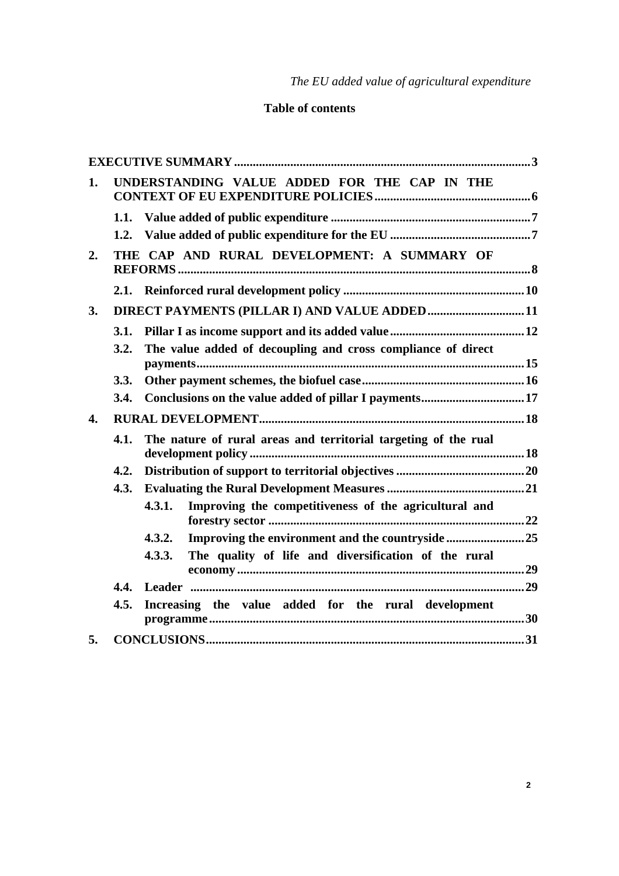# **Table of contents**

| 1.               |                                                                         | UNDERSTANDING VALUE ADDED FOR THE CAP IN THE                    |  |
|------------------|-------------------------------------------------------------------------|-----------------------------------------------------------------|--|
|                  |                                                                         |                                                                 |  |
|                  | 1.2.                                                                    |                                                                 |  |
| 2.               |                                                                         | THE CAP AND RURAL DEVELOPMENT: A SUMMARY OF                     |  |
|                  |                                                                         |                                                                 |  |
| 3.               | DIRECT PAYMENTS (PILLAR I) AND VALUE ADDED 11                           |                                                                 |  |
|                  | 3.1.                                                                    |                                                                 |  |
|                  | 3.2.                                                                    | The value added of decoupling and cross compliance of direct    |  |
|                  | 3.3.                                                                    |                                                                 |  |
|                  | 3.4.                                                                    |                                                                 |  |
| $\overline{4}$ . |                                                                         |                                                                 |  |
|                  | The nature of rural areas and territorial targeting of the rual<br>4.1. |                                                                 |  |
|                  | 4.2.                                                                    |                                                                 |  |
|                  | 4.3.                                                                    |                                                                 |  |
|                  |                                                                         | Improving the competitiveness of the agricultural and<br>4.3.1. |  |
|                  |                                                                         | Improving the environment and the countryside 25<br>4.3.2.      |  |
|                  |                                                                         | 4.3.3.<br>The quality of life and diversification of the rural  |  |
|                  | 4.4.                                                                    |                                                                 |  |
|                  | 4.5.                                                                    | Increasing the value added for the rural development            |  |
| 5.               |                                                                         |                                                                 |  |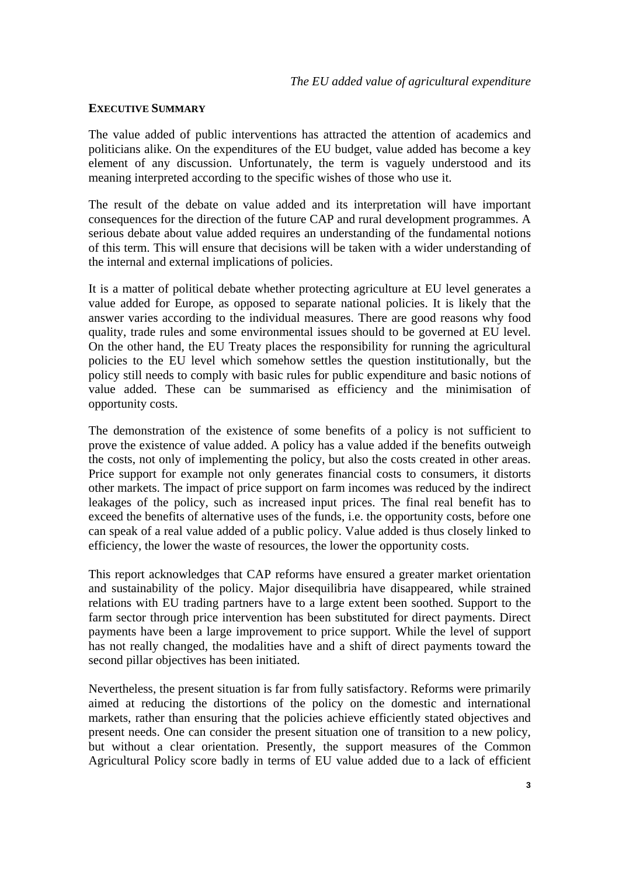#### <span id="page-2-0"></span>**EXECUTIVE SUMMARY**

The value added of public interventions has attracted the attention of academics and politicians alike. On the expenditures of the EU budget, value added has become a key element of any discussion. Unfortunately, the term is vaguely understood and its meaning interpreted according to the specific wishes of those who use it.

The result of the debate on value added and its interpretation will have important consequences for the direction of the future CAP and rural development programmes. A serious debate about value added requires an understanding of the fundamental notions of this term. This will ensure that decisions will be taken with a wider understanding of the internal and external implications of policies.

It is a matter of political debate whether protecting agriculture at EU level generates a value added for Europe, as opposed to separate national policies. It is likely that the answer varies according to the individual measures. There are good reasons why food quality, trade rules and some environmental issues should to be governed at EU level. On the other hand, the EU Treaty places the responsibility for running the agricultural policies to the EU level which somehow settles the question institutionally, but the policy still needs to comply with basic rules for public expenditure and basic notions of value added. These can be summarised as efficiency and the minimisation of opportunity costs.

The demonstration of the existence of some benefits of a policy is not sufficient to prove the existence of value added. A policy has a value added if the benefits outweigh the costs, not only of implementing the policy, but also the costs created in other areas. Price support for example not only generates financial costs to consumers, it distorts other markets. The impact of price support on farm incomes was reduced by the indirect leakages of the policy, such as increased input prices. The final real benefit has to exceed the benefits of alternative uses of the funds, i.e. the opportunity costs, before one can speak of a real value added of a public policy. Value added is thus closely linked to efficiency, the lower the waste of resources, the lower the opportunity costs.

This report acknowledges that CAP reforms have ensured a greater market orientation and sustainability of the policy. Major disequilibria have disappeared, while strained relations with EU trading partners have to a large extent been soothed. Support to the farm sector through price intervention has been substituted for direct payments. Direct payments have been a large improvement to price support. While the level of support has not really changed, the modalities have and a shift of direct payments toward the second pillar objectives has been initiated.

Nevertheless, the present situation is far from fully satisfactory. Reforms were primarily aimed at reducing the distortions of the policy on the domestic and international markets, rather than ensuring that the policies achieve efficiently stated objectives and present needs. One can consider the present situation one of transition to a new policy, but without a clear orientation. Presently, the support measures of the Common Agricultural Policy score badly in terms of EU value added due to a lack of efficient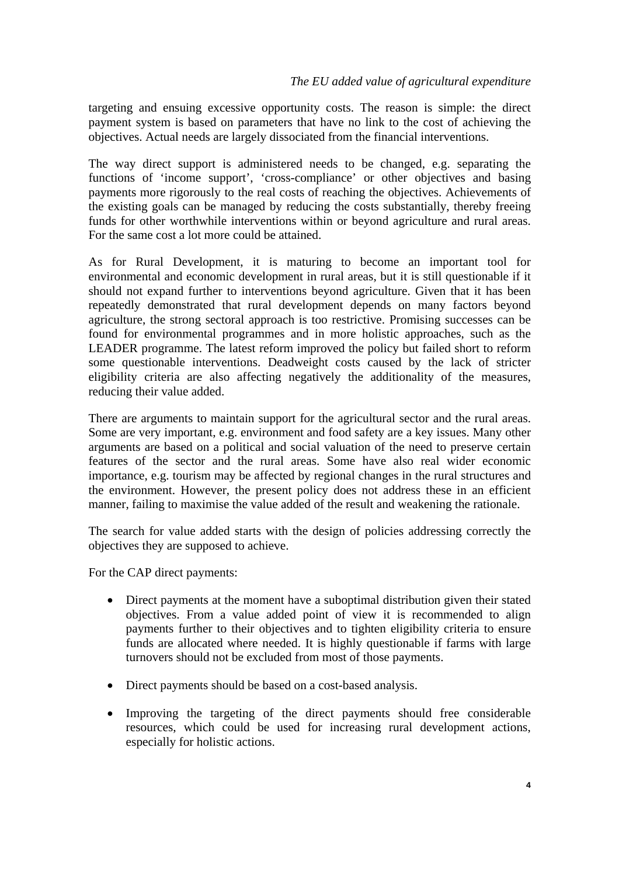targeting and ensuing excessive opportunity costs. The reason is simple: the direct payment system is based on parameters that have no link to the cost of achieving the objectives. Actual needs are largely dissociated from the financial interventions.

The way direct support is administered needs to be changed, e.g. separating the functions of 'income support', 'cross-compliance' or other objectives and basing payments more rigorously to the real costs of reaching the objectives. Achievements of the existing goals can be managed by reducing the costs substantially, thereby freeing funds for other worthwhile interventions within or beyond agriculture and rural areas. For the same cost a lot more could be attained.

As for Rural Development, it is maturing to become an important tool for environmental and economic development in rural areas, but it is still questionable if it should not expand further to interventions beyond agriculture. Given that it has been repeatedly demonstrated that rural development depends on many factors beyond agriculture, the strong sectoral approach is too restrictive. Promising successes can be found for environmental programmes and in more holistic approaches, such as the LEADER programme. The latest reform improved the policy but failed short to reform some questionable interventions. Deadweight costs caused by the lack of stricter eligibility criteria are also affecting negatively the additionality of the measures, reducing their value added.

There are arguments to maintain support for the agricultural sector and the rural areas. Some are very important, e.g. environment and food safety are a key issues. Many other arguments are based on a political and social valuation of the need to preserve certain features of the sector and the rural areas. Some have also real wider economic importance, e.g. tourism may be affected by regional changes in the rural structures and the environment. However, the present policy does not address these in an efficient manner, failing to maximise the value added of the result and weakening the rationale.

The search for value added starts with the design of policies addressing correctly the objectives they are supposed to achieve.

For the CAP direct payments:

- Direct payments at the moment have a suboptimal distribution given their stated objectives. From a value added point of view it is recommended to align payments further to their objectives and to tighten eligibility criteria to ensure funds are allocated where needed. It is highly questionable if farms with large turnovers should not be excluded from most of those payments.
- Direct payments should be based on a cost-based analysis.
- Improving the targeting of the direct payments should free considerable resources, which could be used for increasing rural development actions, especially for holistic actions.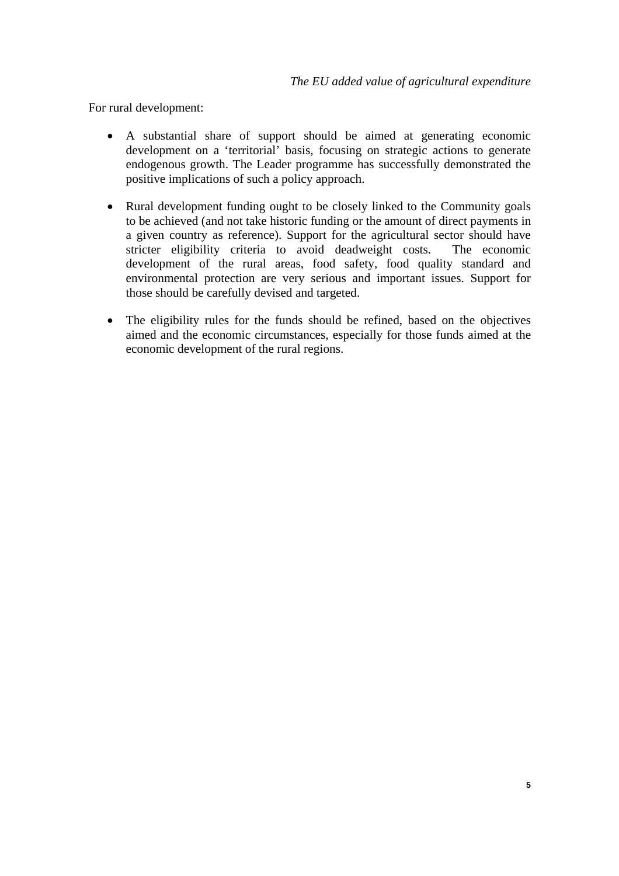For rural development:

- A substantial share of support should be aimed at generating economic development on a 'territorial' basis, focusing on strategic actions to generate endogenous growth. The Leader programme has successfully demonstrated the positive implications of such a policy approach.
- Rural development funding ought to be closely linked to the Community goals to be achieved (and not take historic funding or the amount of direct payments in a given country as reference). Support for the agricultural sector should have stricter eligibility criteria to avoid deadweight costs. The economic development of the rural areas, food safety, food quality standard and environmental protection are very serious and important issues. Support for those should be carefully devised and targeted.
- The eligibility rules for the funds should be refined, based on the objectives aimed and the economic circumstances, especially for those funds aimed at the economic development of the rural regions.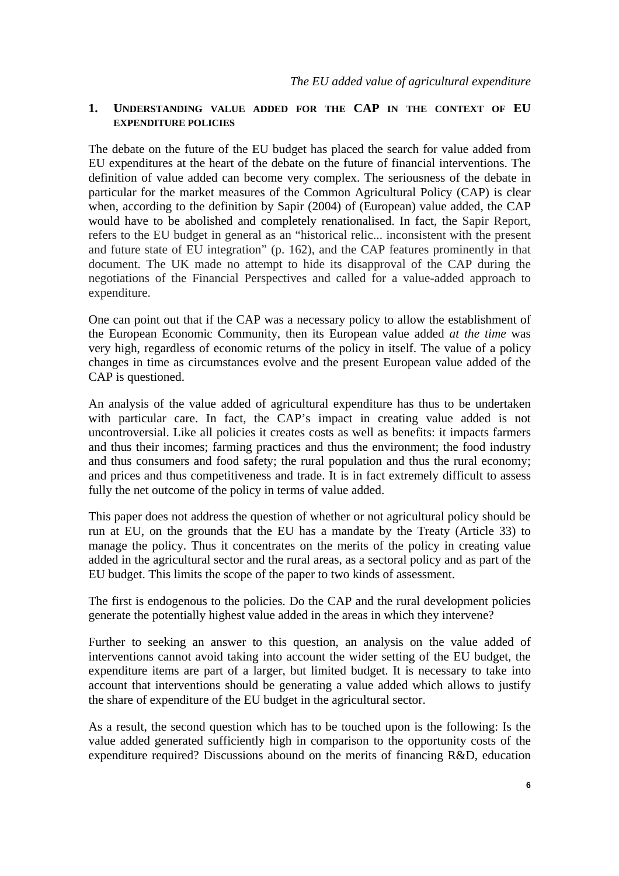#### <span id="page-5-0"></span>**1. UNDERSTANDING VALUE ADDED FOR THE CAP IN THE CONTEXT OF EU EXPENDITURE POLICIES**

The debate on the future of the EU budget has placed the search for value added from EU expenditures at the heart of the debate on the future of financial interventions. The definition of value added can become very complex. The seriousness of the debate in particular for the market measures of the Common Agricultural Policy (CAP) is clear when, according to the definition by Sapir (2004) of (European) value added, the CAP would have to be abolished and completely renationalised. In fact, the Sapir Report, refers to the EU budget in general as an "historical relic... inconsistent with the present and future state of EU integration" (p. 162), and the CAP features prominently in that document. The UK made no attempt to hide its disapproval of the CAP during the negotiations of the Financial Perspectives and called for a value-added approach to expenditure.

One can point out that if the CAP was a necessary policy to allow the establishment of the European Economic Community, then its European value added *at the time* was very high, regardless of economic returns of the policy in itself. The value of a policy changes in time as circumstances evolve and the present European value added of the CAP is questioned.

An analysis of the value added of agricultural expenditure has thus to be undertaken with particular care. In fact, the CAP's impact in creating value added is not uncontroversial. Like all policies it creates costs as well as benefits: it impacts farmers and thus their incomes; farming practices and thus the environment; the food industry and thus consumers and food safety; the rural population and thus the rural economy; and prices and thus competitiveness and trade. It is in fact extremely difficult to assess fully the net outcome of the policy in terms of value added.

This paper does not address the question of whether or not agricultural policy should be run at EU, on the grounds that the EU has a mandate by the Treaty (Article 33) to manage the policy. Thus it concentrates on the merits of the policy in creating value added in the agricultural sector and the rural areas, as a sectoral policy and as part of the EU budget. This limits the scope of the paper to two kinds of assessment.

The first is endogenous to the policies. Do the CAP and the rural development policies generate the potentially highest value added in the areas in which they intervene?

Further to seeking an answer to this question, an analysis on the value added of interventions cannot avoid taking into account the wider setting of the EU budget, the expenditure items are part of a larger, but limited budget. It is necessary to take into account that interventions should be generating a value added which allows to justify the share of expenditure of the EU budget in the agricultural sector.

As a result, the second question which has to be touched upon is the following: Is the value added generated sufficiently high in comparison to the opportunity costs of the expenditure required? Discussions abound on the merits of financing R&D, education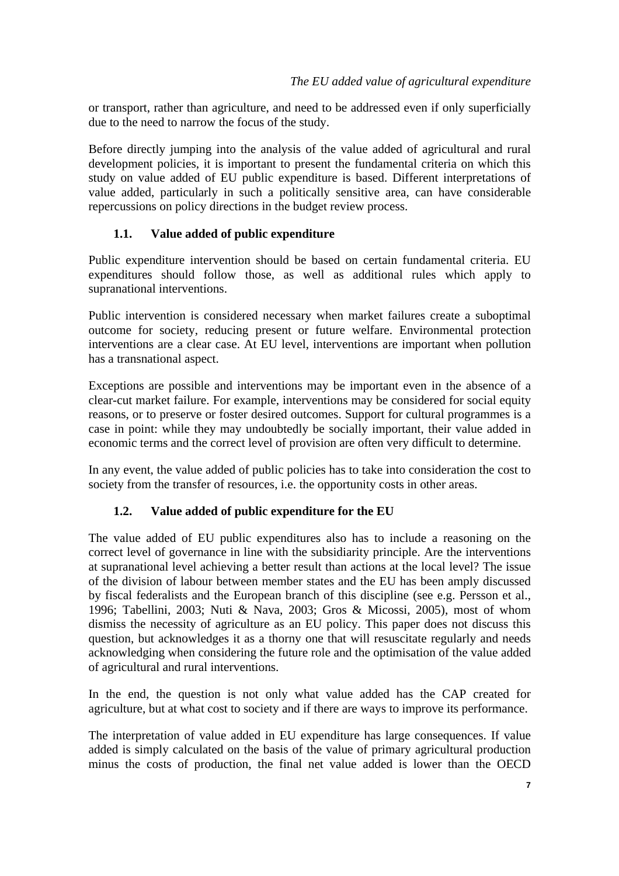<span id="page-6-0"></span>or transport, rather than agriculture, and need to be addressed even if only superficially due to the need to narrow the focus of the study.

Before directly jumping into the analysis of the value added of agricultural and rural development policies, it is important to present the fundamental criteria on which this study on value added of EU public expenditure is based. Different interpretations of value added, particularly in such a politically sensitive area, can have considerable repercussions on policy directions in the budget review process.

## **1.1. Value added of public expenditure**

Public expenditure intervention should be based on certain fundamental criteria. EU expenditures should follow those, as well as additional rules which apply to supranational interventions.

Public intervention is considered necessary when market failures create a suboptimal outcome for society, reducing present or future welfare. Environmental protection interventions are a clear case. At EU level, interventions are important when pollution has a transnational aspect.

Exceptions are possible and interventions may be important even in the absence of a clear-cut market failure. For example, interventions may be considered for social equity reasons, or to preserve or foster desired outcomes. Support for cultural programmes is a case in point: while they may undoubtedly be socially important, their value added in economic terms and the correct level of provision are often very difficult to determine.

In any event, the value added of public policies has to take into consideration the cost to society from the transfer of resources, i.e. the opportunity costs in other areas.

## **1.2. Value added of public expenditure for the EU**

The value added of EU public expenditures also has to include a reasoning on the correct level of governance in line with the subsidiarity principle. Are the interventions at supranational level achieving a better result than actions at the local level? The issue of the division of labour between member states and the EU has been amply discussed by fiscal federalists and the European branch of this discipline (see e.g. Persson et al., 1996; Tabellini, 2003; Nuti & Nava, 2003; Gros & Micossi, 2005), most of whom dismiss the necessity of agriculture as an EU policy. This paper does not discuss this question, but acknowledges it as a thorny one that will resuscitate regularly and needs acknowledging when considering the future role and the optimisation of the value added of agricultural and rural interventions.

In the end, the question is not only what value added has the CAP created for agriculture, but at what cost to society and if there are ways to improve its performance.

The interpretation of value added in EU expenditure has large consequences. If value added is simply calculated on the basis of the value of primary agricultural production minus the costs of production, the final net value added is lower than the OECD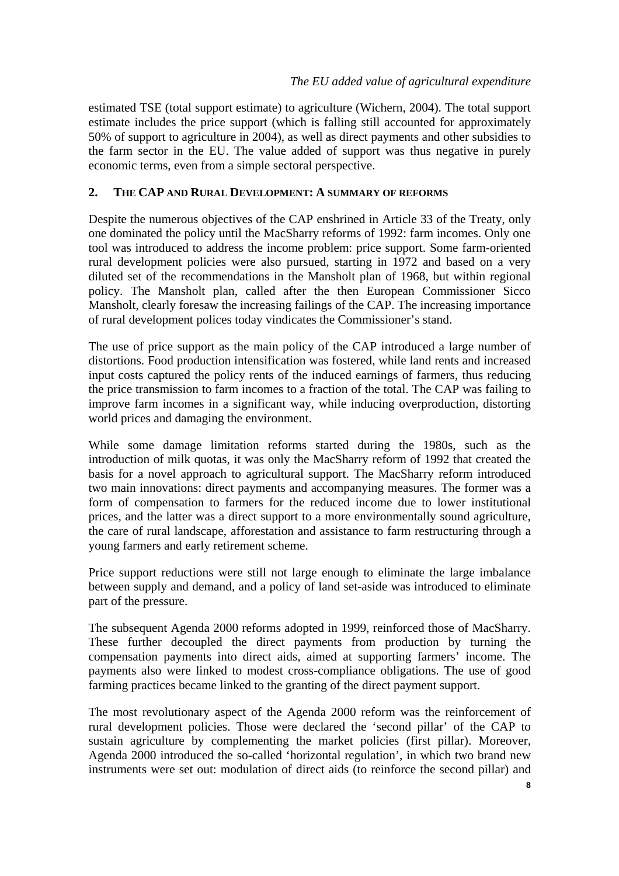<span id="page-7-0"></span>estimated TSE (total support estimate) to agriculture (Wichern, 2004). The total support estimate includes the price support (which is falling still accounted for approximately 50% of support to agriculture in 2004), as well as direct payments and other subsidies to the farm sector in the EU. The value added of support was thus negative in purely economic terms, even from a simple sectoral perspective.

### **2. THE CAP AND RURAL DEVELOPMENT: A SUMMARY OF REFORMS**

Despite the numerous objectives of the CAP enshrined in Article 33 of the Treaty, only one dominated the policy until the MacSharry reforms of 1992: farm incomes. Only one tool was introduced to address the income problem: price support. Some farm-oriented rural development policies were also pursued, starting in 1972 and based on a very diluted set of the recommendations in the Mansholt plan of 1968, but within regional policy. The Mansholt plan, called after the then European Commissioner Sicco Mansholt, clearly foresaw the increasing failings of the CAP. The increasing importance of rural development polices today vindicates the Commissioner's stand.

The use of price support as the main policy of the CAP introduced a large number of distortions. Food production intensification was fostered, while land rents and increased input costs captured the policy rents of the induced earnings of farmers, thus reducing the price transmission to farm incomes to a fraction of the total. The CAP was failing to improve farm incomes in a significant way, while inducing overproduction, distorting world prices and damaging the environment.

While some damage limitation reforms started during the 1980s, such as the introduction of milk quotas, it was only the MacSharry reform of 1992 that created the basis for a novel approach to agricultural support. The MacSharry reform introduced two main innovations: direct payments and accompanying measures. The former was a form of compensation to farmers for the reduced income due to lower institutional prices, and the latter was a direct support to a more environmentally sound agriculture, the care of rural landscape, afforestation and assistance to farm restructuring through a young farmers and early retirement scheme.

Price support reductions were still not large enough to eliminate the large imbalance between supply and demand, and a policy of land set-aside was introduced to eliminate part of the pressure.

The subsequent Agenda 2000 reforms adopted in 1999, reinforced those of MacSharry. These further decoupled the direct payments from production by turning the compensation payments into direct aids, aimed at supporting farmers' income. The payments also were linked to modest cross-compliance obligations. The use of good farming practices became linked to the granting of the direct payment support.

The most revolutionary aspect of the Agenda 2000 reform was the reinforcement of rural development policies. Those were declared the 'second pillar' of the CAP to sustain agriculture by complementing the market policies (first pillar). Moreover, Agenda 2000 introduced the so-called 'horizontal regulation', in which two brand new instruments were set out: modulation of direct aids (to reinforce the second pillar) and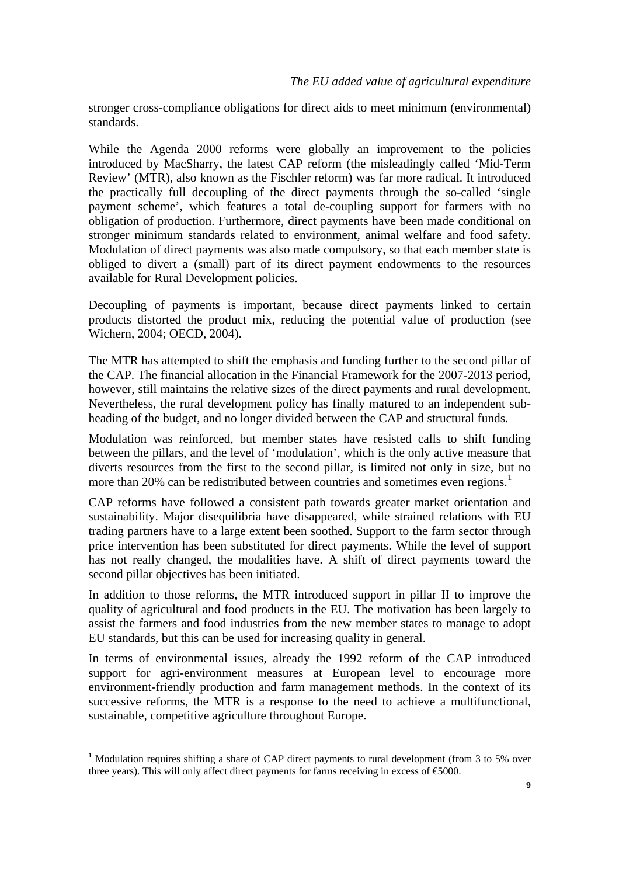<span id="page-8-0"></span>stronger cross-compliance obligations for direct aids to meet minimum (environmental) standards.

While the Agenda 2000 reforms were globally an improvement to the policies introduced by MacSharry, the latest CAP reform (the misleadingly called 'Mid-Term Review' (MTR), also known as the Fischler reform) was far more radical. It introduced the practically full decoupling of the direct payments through the so-called 'single payment scheme', which features a total de-coupling support for farmers with no obligation of production. Furthermore, direct payments have been made conditional on stronger minimum standards related to environment, animal welfare and food safety. Modulation of direct payments was also made compulsory, so that each member state is obliged to divert a (small) part of its direct payment endowments to the resources available for Rural Development policies.

Decoupling of payments is important, because direct payments linked to certain products distorted the product mix, reducing the potential value of production (see Wichern, 2004; OECD, 2004).

The MTR has attempted to shift the emphasis and funding further to the second pillar of the CAP. The financial allocation in the Financial Framework for the 2007-2013 period, however, still maintains the relative sizes of the direct payments and rural development. Nevertheless, the rural development policy has finally matured to an independent subheading of the budget, and no longer divided between the CAP and structural funds.

Modulation was reinforced, but member states have resisted calls to shift funding between the pillars, and the level of 'modulation', which is the only active measure that diverts resources from the first to the second pillar, is limited not only in size, but no more than 20% can be redistributed between countries and sometimes even regions.<sup>[1](#page-8-0)</sup>

CAP reforms have followed a consistent path towards greater market orientation and sustainability. Major disequilibria have disappeared, while strained relations with EU trading partners have to a large extent been soothed. Support to the farm sector through price intervention has been substituted for direct payments. While the level of support has not really changed, the modalities have. A shift of direct payments toward the second pillar objectives has been initiated.

In addition to those reforms, the MTR introduced support in pillar II to improve the quality of agricultural and food products in the EU. The motivation has been largely to assist the farmers and food industries from the new member states to manage to adopt EU standards, but this can be used for increasing quality in general.

In terms of environmental issues, already the 1992 reform of the CAP introduced support for agri-environment measures at European level to encourage more environment-friendly production and farm management methods. In the context of its successive reforms, the MTR is a response to the need to achieve a multifunctional, sustainable, competitive agriculture throughout Europe.

**<sup>1</sup>** Modulation requires shifting a share of CAP direct payments to rural development (from 3 to 5% over three years). This will only affect direct payments for farms receiving in excess of  $\epsilon$ 5000.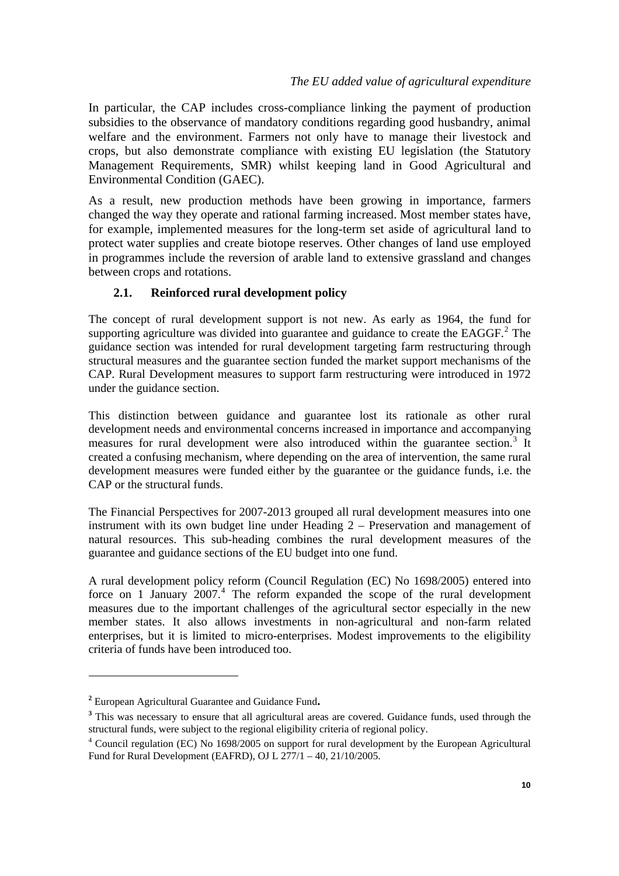<span id="page-9-0"></span>In particular, the CAP includes cross-compliance linking the payment of production subsidies to the observance of mandatory conditions regarding good husbandry, animal welfare and the environment. Farmers not only have to manage their livestock and crops, but also demonstrate compliance with existing EU legislation (the Statutory Management Requirements, SMR) whilst keeping land in Good Agricultural and Environmental Condition (GAEC).

As a result, new production methods have been growing in importance, farmers changed the way they operate and rational farming increased. Most member states have, for example, implemented measures for the long-term set aside of agricultural land to protect water supplies and create biotope reserves. Other changes of land use employed in programmes include the reversion of arable land to extensive grassland and changes between crops and rotations.

### **2.1. Reinforced rural development policy**

The concept of rural development support is not new. As early as 1964, the fund for supporting agriculture was divided into guarantee and guidance to create the  $EAGGF<sup>2</sup>$  $EAGGF<sup>2</sup>$  $EAGGF<sup>2</sup>$ . The guidance section was intended for rural development targeting farm restructuring through structural measures and the guarantee section funded the market support mechanisms of the CAP. Rural Development measures to support farm restructuring were introduced in 1972 under the guidance section.

This distinction between guidance and guarantee lost its rationale as other rural development needs and environmental concerns increased in importance and accompanying measures for rural development were also introduced within the guarantee section.<sup>[3](#page-9-0)</sup> It created a confusing mechanism, where depending on the area of intervention, the same rural development measures were funded either by the guarantee or the guidance funds, i.e. the CAP or the structural funds.

The Financial Perspectives for 2007-2013 grouped all rural development measures into one instrument with its own budget line under Heading 2 – Preservation and management of natural resources. This sub-heading combines the rural development measures of the guarantee and guidance sections of the EU budget into one fund.

A rural development policy reform (Council Regulation (EC) No 1698/2005) entered into force on 1 January  $2007<sup>4</sup>$  $2007<sup>4</sup>$  $2007<sup>4</sup>$ . The reform expanded the scope of the rural development measures due to the important challenges of the agricultural sector especially in the new member states. It also allows investments in non-agricultural and non-farm related enterprises, but it is limited to micro-enterprises. Modest improvements to the eligibility criteria of funds have been introduced too.

**<sup>2</sup>** European Agricultural Guarantee and Guidance Fund**.** 

<sup>&</sup>lt;sup>3</sup> This was necessary to ensure that all agricultural areas are covered. Guidance funds, used through the structural funds, were subject to the regional eligibility criteria of regional policy. 4

Council regulation (EC) No 1698/2005 on support for rural development by the European Agricultural Fund for Rural Development (EAFRD), OJ L 277/1 – 40, 21/10/2005.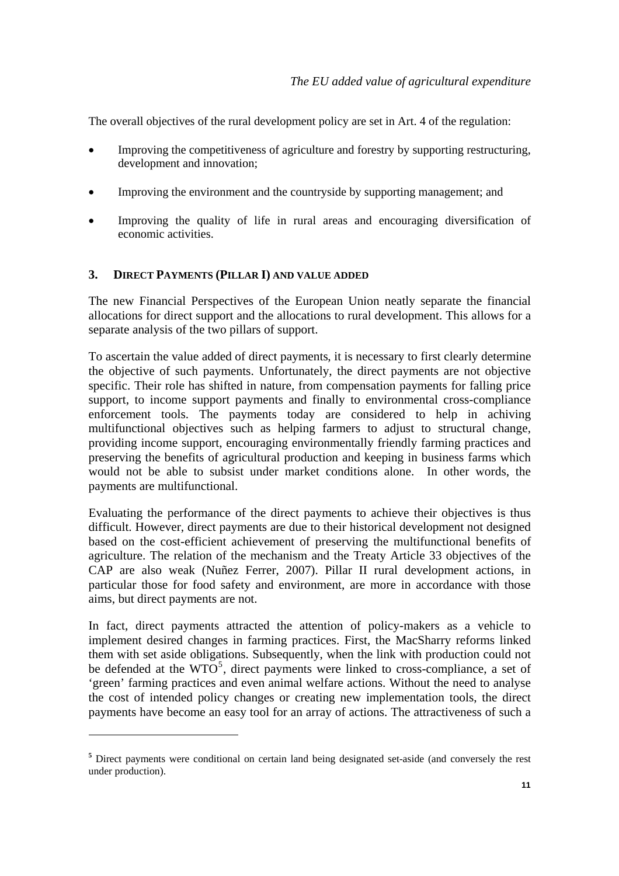<span id="page-10-0"></span>The overall objectives of the rural development policy are set in Art. 4 of the regulation:

- Improving the competitiveness of agriculture and forestry by supporting restructuring, development and innovation;
- Improving the environment and the countryside by supporting management; and
- Improving the quality of life in rural areas and encouraging diversification of economic activities.

### **3. DIRECT PAYMENTS (PILLAR I) AND VALUE ADDED**

The new Financial Perspectives of the European Union neatly separate the financial allocations for direct support and the allocations to rural development. This allows for a separate analysis of the two pillars of support.

To ascertain the value added of direct payments, it is necessary to first clearly determine the objective of such payments. Unfortunately, the direct payments are not objective specific. Their role has shifted in nature, from compensation payments for falling price support, to income support payments and finally to environmental cross-compliance enforcement tools. The payments today are considered to help in achiving multifunctional objectives such as helping farmers to adjust to structural change, providing income support, encouraging environmentally friendly farming practices and preserving the benefits of agricultural production and keeping in business farms which would not be able to subsist under market conditions alone. In other words, the payments are multifunctional.

Evaluating the performance of the direct payments to achieve their objectives is thus difficult. However, direct payments are due to their historical development not designed based on the cost-efficient achievement of preserving the multifunctional benefits of agriculture. The relation of the mechanism and the Treaty Article 33 objectives of the CAP are also weak (Nuñez Ferrer, 2007). Pillar II rural development actions, in particular those for food safety and environment, are more in accordance with those aims, but direct payments are not.

In fact, direct payments attracted the attention of policy-makers as a vehicle to implement desired changes in farming practices. First, the MacSharry reforms linked them with set aside obligations. Subsequently, when the link with production could not be defended at the  $WTO<sup>5</sup>$  $WTO<sup>5</sup>$  $WTO<sup>5</sup>$ , direct payments were linked to cross-compliance, a set of 'green' farming practices and even animal welfare actions. Without the need to analyse the cost of intended policy changes or creating new implementation tools, the direct payments have become an easy tool for an array of actions. The attractiveness of such a

**<sup>5</sup>** Direct payments were conditional on certain land being designated set-aside (and conversely the rest under production).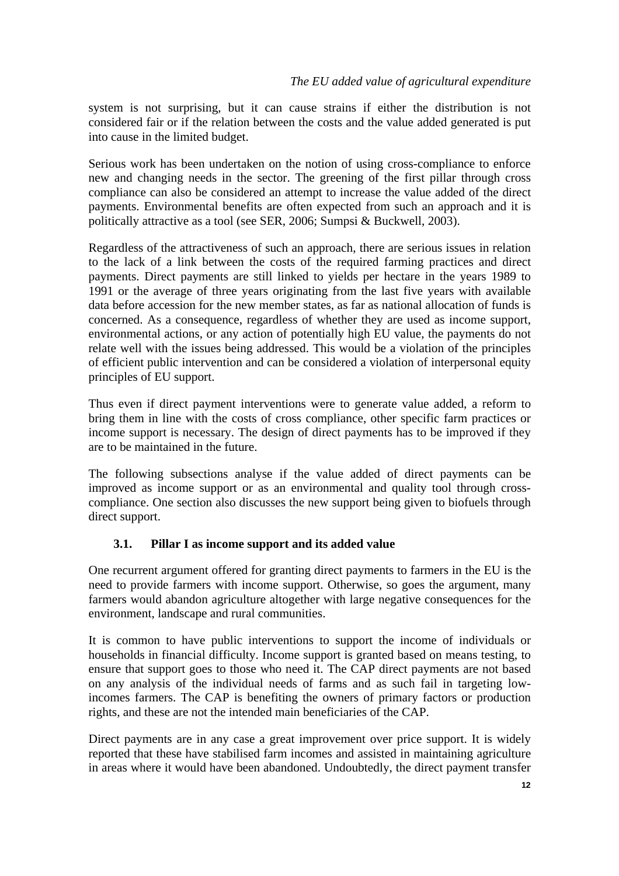<span id="page-11-0"></span>system is not surprising, but it can cause strains if either the distribution is not considered fair or if the relation between the costs and the value added generated is put into cause in the limited budget.

Serious work has been undertaken on the notion of using cross-compliance to enforce new and changing needs in the sector. The greening of the first pillar through cross compliance can also be considered an attempt to increase the value added of the direct payments. Environmental benefits are often expected from such an approach and it is politically attractive as a tool (see SER, 2006; Sumpsi & Buckwell, 2003).

Regardless of the attractiveness of such an approach, there are serious issues in relation to the lack of a link between the costs of the required farming practices and direct payments. Direct payments are still linked to yields per hectare in the years 1989 to 1991 or the average of three years originating from the last five years with available data before accession for the new member states, as far as national allocation of funds is concerned. As a consequence, regardless of whether they are used as income support, environmental actions, or any action of potentially high EU value, the payments do not relate well with the issues being addressed. This would be a violation of the principles of efficient public intervention and can be considered a violation of interpersonal equity principles of EU support.

Thus even if direct payment interventions were to generate value added, a reform to bring them in line with the costs of cross compliance, other specific farm practices or income support is necessary. The design of direct payments has to be improved if they are to be maintained in the future.

The following subsections analyse if the value added of direct payments can be improved as income support or as an environmental and quality tool through crosscompliance. One section also discusses the new support being given to biofuels through direct support.

## **3.1. Pillar I as income support and its added value**

One recurrent argument offered for granting direct payments to farmers in the EU is the need to provide farmers with income support. Otherwise, so goes the argument, many farmers would abandon agriculture altogether with large negative consequences for the environment, landscape and rural communities.

It is common to have public interventions to support the income of individuals or households in financial difficulty. Income support is granted based on means testing, to ensure that support goes to those who need it. The CAP direct payments are not based on any analysis of the individual needs of farms and as such fail in targeting lowincomes farmers. The CAP is benefiting the owners of primary factors or production rights, and these are not the intended main beneficiaries of the CAP.

Direct payments are in any case a great improvement over price support. It is widely reported that these have stabilised farm incomes and assisted in maintaining agriculture in areas where it would have been abandoned. Undoubtedly, the direct payment transfer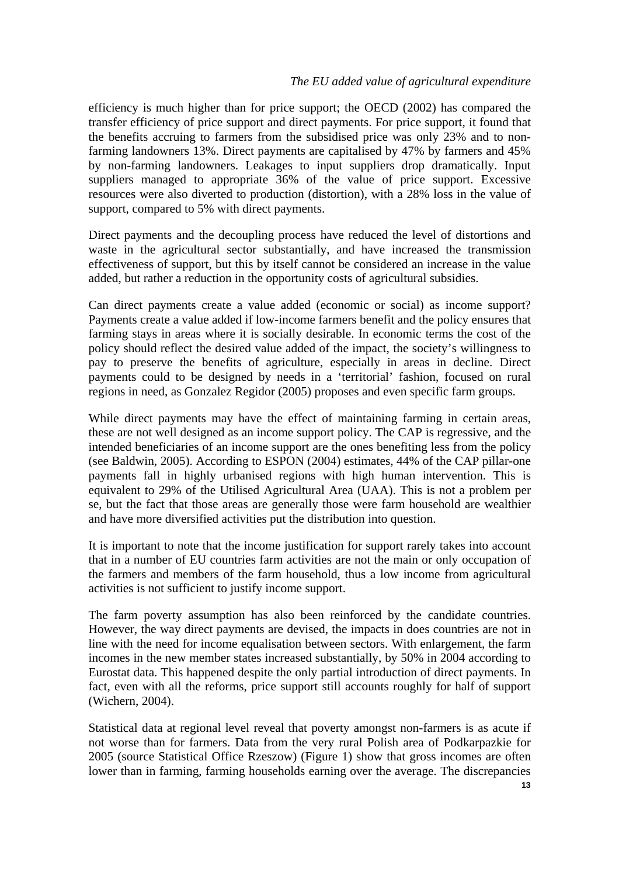efficiency is much higher than for price support; the OECD (2002) has compared the transfer efficiency of price support and direct payments. For price support, it found that the benefits accruing to farmers from the subsidised price was only 23% and to nonfarming landowners 13%. Direct payments are capitalised by 47% by farmers and 45% by non-farming landowners. Leakages to input suppliers drop dramatically. Input suppliers managed to appropriate 36% of the value of price support. Excessive resources were also diverted to production (distortion), with a 28% loss in the value of support, compared to 5% with direct payments.

Direct payments and the decoupling process have reduced the level of distortions and waste in the agricultural sector substantially, and have increased the transmission effectiveness of support, but this by itself cannot be considered an increase in the value added, but rather a reduction in the opportunity costs of agricultural subsidies.

Can direct payments create a value added (economic or social) as income support? Payments create a value added if low-income farmers benefit and the policy ensures that farming stays in areas where it is socially desirable. In economic terms the cost of the policy should reflect the desired value added of the impact, the society's willingness to pay to preserve the benefits of agriculture, especially in areas in decline. Direct payments could to be designed by needs in a 'territorial' fashion, focused on rural regions in need, as Gonzalez Regidor (2005) proposes and even specific farm groups.

While direct payments may have the effect of maintaining farming in certain areas, these are not well designed as an income support policy. The CAP is regressive, and the intended beneficiaries of an income support are the ones benefiting less from the policy (see Baldwin, 2005). According to ESPON (2004) estimates, 44% of the CAP pillar-one payments fall in highly urbanised regions with high human intervention. This is equivalent to 29% of the Utilised Agricultural Area (UAA). This is not a problem per se, but the fact that those areas are generally those were farm household are wealthier and have more diversified activities put the distribution into question.

It is important to note that the income justification for support rarely takes into account that in a number of EU countries farm activities are not the main or only occupation of the farmers and members of the farm household, thus a low income from agricultural activities is not sufficient to justify income support.

The farm poverty assumption has also been reinforced by the candidate countries. However, the way direct payments are devised, the impacts in does countries are not in line with the need for income equalisation between sectors. With enlargement, the farm incomes in the new member states increased substantially, by 50% in 2004 according to Eurostat data. This happened despite the only partial introduction of direct payments. In fact, even with all the reforms, price support still accounts roughly for half of support (Wichern, 2004).

Statistical data at regional level reveal that poverty amongst non-farmers is as acute if not worse than for farmers. Data from the very rural Polish area of Podkarpazkie for 2005 (source Statistical Office Rzeszow) (Figure 1) show that gross incomes are often lower than in farming, farming households earning over the average. The discrepancies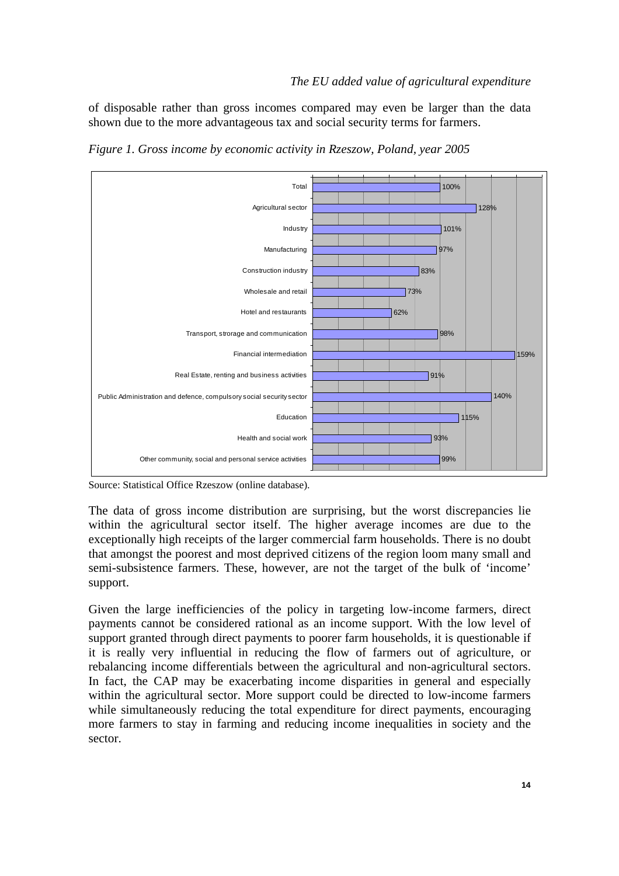of disposable rather than gross incomes compared may even be larger than the data shown due to the more advantageous tax and social security terms for farmers.



*Figure 1. Gross income by economic activity in Rzeszow, Poland, year 2005* 

Source: Statistical Office Rzeszow (online database).

The data of gross income distribution are surprising, but the worst discrepancies lie within the agricultural sector itself. The higher average incomes are due to the exceptionally high receipts of the larger commercial farm households. There is no doubt that amongst the poorest and most deprived citizens of the region loom many small and semi-subsistence farmers. These, however, are not the target of the bulk of 'income' support.

Given the large inefficiencies of the policy in targeting low-income farmers, direct payments cannot be considered rational as an income support. With the low level of support granted through direct payments to poorer farm households, it is questionable if it is really very influential in reducing the flow of farmers out of agriculture, or rebalancing income differentials between the agricultural and non-agricultural sectors. In fact, the CAP may be exacerbating income disparities in general and especially within the agricultural sector. More support could be directed to low-income farmers while simultaneously reducing the total expenditure for direct payments, encouraging more farmers to stay in farming and reducing income inequalities in society and the sector.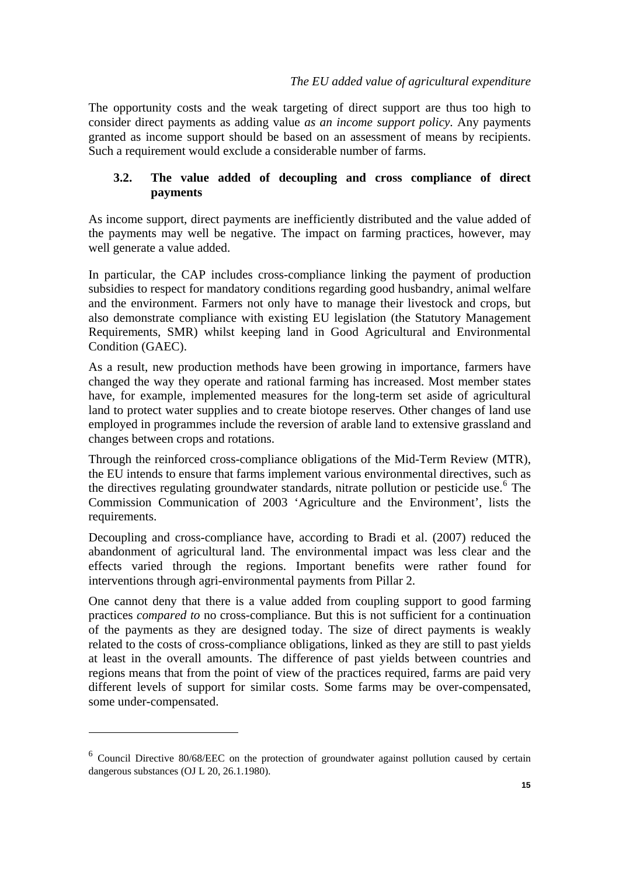<span id="page-14-0"></span>The opportunity costs and the weak targeting of direct support are thus too high to consider direct payments as adding value *as an income support policy*. Any payments granted as income support should be based on an assessment of means by recipients. Such a requirement would exclude a considerable number of farms.

## **3.2. The value added of decoupling and cross compliance of direct payments**

As income support, direct payments are inefficiently distributed and the value added of the payments may well be negative. The impact on farming practices, however, may well generate a value added.

In particular, the CAP includes cross-compliance linking the payment of production subsidies to respect for mandatory conditions regarding good husbandry, animal welfare and the environment. Farmers not only have to manage their livestock and crops, but also demonstrate compliance with existing EU legislation (the Statutory Management Requirements, SMR) whilst keeping land in Good Agricultural and Environmental Condition (GAEC).

As a result, new production methods have been growing in importance, farmers have changed the way they operate and rational farming has increased. Most member states have, for example, implemented measures for the long-term set aside of agricultural land to protect water supplies and to create biotope reserves. Other changes of land use employed in programmes include the reversion of arable land to extensive grassland and changes between crops and rotations.

Through the reinforced cross-compliance obligations of the Mid-Term Review (MTR), the EU intends to ensure that farms implement various environmental directives, such as the directives regulating groundwater standards, nitrate pollution or pesticide use.<sup>[6](#page-14-0)</sup> The Commission Communication of 2003 'Agriculture and the Environment', lists the requirements.

Decoupling and cross-compliance have, according to Bradi et al. (2007) reduced the abandonment of agricultural land. The environmental impact was less clear and the effects varied through the regions. Important benefits were rather found for interventions through agri-environmental payments from Pillar 2.

One cannot deny that there is a value added from coupling support to good farming practices *compared to* no cross-compliance. But this is not sufficient for a continuation of the payments as they are designed today. The size of direct payments is weakly related to the costs of cross-compliance obligations, linked as they are still to past yields at least in the overall amounts. The difference of past yields between countries and regions means that from the point of view of the practices required, farms are paid very different levels of support for similar costs. Some farms may be over-compensated, some under-compensated.

<sup>&</sup>lt;sup>6</sup> Council Directive 80/68/EEC on the protection of groundwater against pollution caused by certain dangerous substances (OJ L 20, 26.1.1980).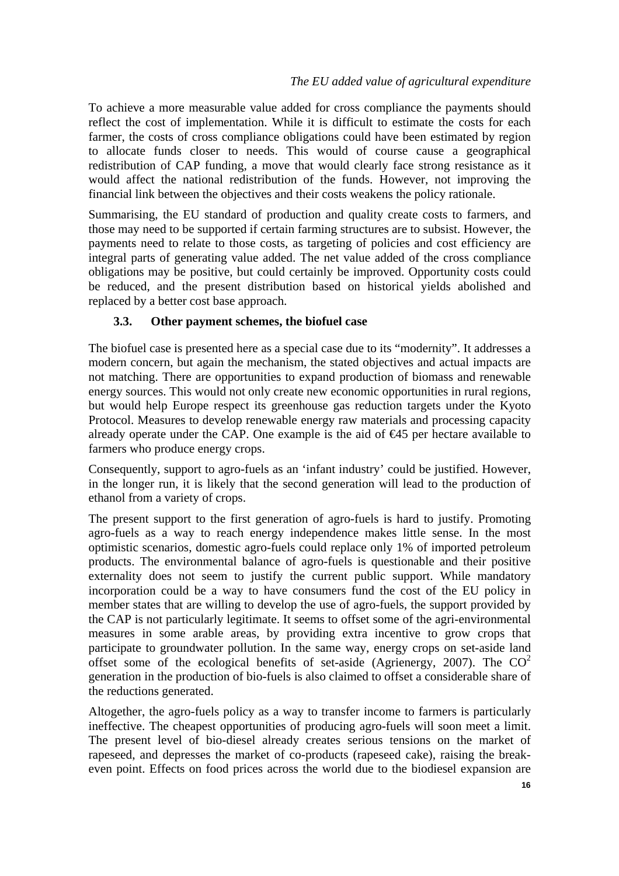<span id="page-15-0"></span>To achieve a more measurable value added for cross compliance the payments should reflect the cost of implementation. While it is difficult to estimate the costs for each farmer, the costs of cross compliance obligations could have been estimated by region to allocate funds closer to needs. This would of course cause a geographical redistribution of CAP funding, a move that would clearly face strong resistance as it would affect the national redistribution of the funds. However, not improving the financial link between the objectives and their costs weakens the policy rationale.

Summarising, the EU standard of production and quality create costs to farmers, and those may need to be supported if certain farming structures are to subsist. However, the payments need to relate to those costs, as targeting of policies and cost efficiency are integral parts of generating value added. The net value added of the cross compliance obligations may be positive, but could certainly be improved. Opportunity costs could be reduced, and the present distribution based on historical yields abolished and replaced by a better cost base approach.

### **3.3. Other payment schemes, the biofuel case**

The biofuel case is presented here as a special case due to its "modernity". It addresses a modern concern, but again the mechanism, the stated objectives and actual impacts are not matching. There are opportunities to expand production of biomass and renewable energy sources. This would not only create new economic opportunities in rural regions, but would help Europe respect its greenhouse gas reduction targets under the Kyoto Protocol. Measures to develop renewable energy raw materials and processing capacity already operate under the CAP. One example is the aid of  $\bigoplus$  per hectare available to farmers who produce energy crops.

Consequently, support to agro-fuels as an 'infant industry' could be justified. However, in the longer run, it is likely that the second generation will lead to the production of ethanol from a variety of crops.

The present support to the first generation of agro-fuels is hard to justify. Promoting agro-fuels as a way to reach energy independence makes little sense. In the most optimistic scenarios, domestic agro-fuels could replace only 1% of imported petroleum products. The environmental balance of agro-fuels is questionable and their positive externality does not seem to justify the current public support. While mandatory incorporation could be a way to have consumers fund the cost of the EU policy in member states that are willing to develop the use of agro-fuels, the support provided by the CAP is not particularly legitimate. It seems to offset some of the agri-environmental measures in some arable areas, by providing extra incentive to grow crops that participate to groundwater pollution. In the same way, energy crops on set-aside land offset some of the ecological benefits of set-aside (Agrienergy, 2007). The  $CO<sup>2</sup>$ generation in the production of bio-fuels is also claimed to offset a considerable share of the reductions generated.

Altogether, the agro-fuels policy as a way to transfer income to farmers is particularly ineffective. The cheapest opportunities of producing agro-fuels will soon meet a limit. The present level of bio-diesel already creates serious tensions on the market of rapeseed, and depresses the market of co-products (rapeseed cake), raising the breakeven point. Effects on food prices across the world due to the biodiesel expansion are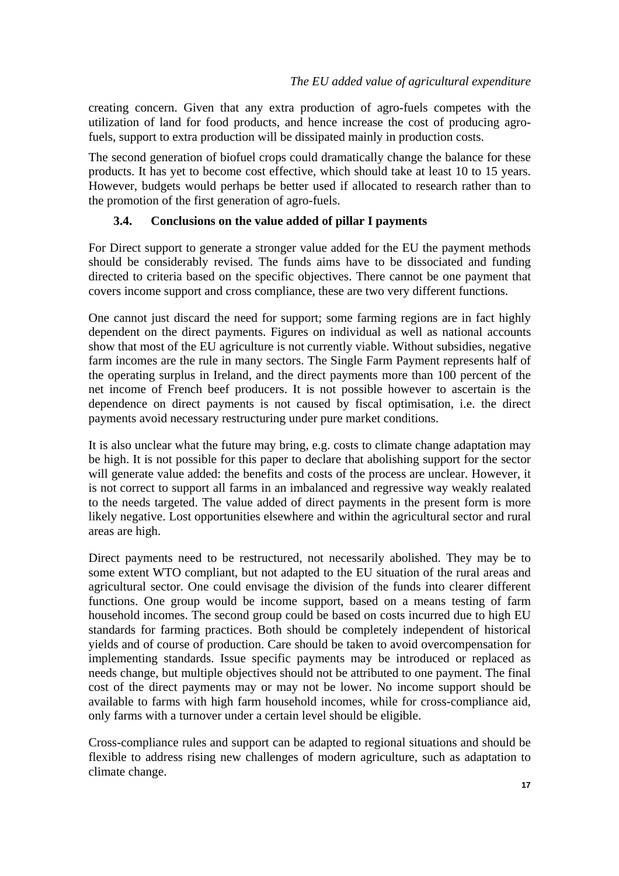<span id="page-16-0"></span>creating concern. Given that any extra production of agro-fuels competes with the utilization of land for food products, and hence increase the cost of producing agrofuels, support to extra production will be dissipated mainly in production costs.

The second generation of biofuel crops could dramatically change the balance for these products. It has yet to become cost effective, which should take at least 10 to 15 years. However, budgets would perhaps be better used if allocated to research rather than to the promotion of the first generation of agro-fuels.

## **3.4. Conclusions on the value added of pillar I payments**

For Direct support to generate a stronger value added for the EU the payment methods should be considerably revised. The funds aims have to be dissociated and funding directed to criteria based on the specific objectives. There cannot be one payment that covers income support and cross compliance, these are two very different functions.

One cannot just discard the need for support; some farming regions are in fact highly dependent on the direct payments. Figures on individual as well as national accounts show that most of the EU agriculture is not currently viable. Without subsidies, negative farm incomes are the rule in many sectors. The Single Farm Payment represents half of the operating surplus in Ireland, and the direct payments more than 100 percent of the net income of French beef producers. It is not possible however to ascertain is the dependence on direct payments is not caused by fiscal optimisation, i.e. the direct payments avoid necessary restructuring under pure market conditions.

It is also unclear what the future may bring, e.g. costs to climate change adaptation may be high. It is not possible for this paper to declare that abolishing support for the sector will generate value added: the benefits and costs of the process are unclear. However, it is not correct to support all farms in an imbalanced and regressive way weakly realated to the needs targeted. The value added of direct payments in the present form is more likely negative. Lost opportunities elsewhere and within the agricultural sector and rural areas are high.

Direct payments need to be restructured, not necessarily abolished. They may be to some extent WTO compliant, but not adapted to the EU situation of the rural areas and agricultural sector. One could envisage the division of the funds into clearer different functions. One group would be income support, based on a means testing of farm household incomes. The second group could be based on costs incurred due to high EU standards for farming practices. Both should be completely independent of historical yields and of course of production. Care should be taken to avoid overcompensation for implementing standards. Issue specific payments may be introduced or replaced as needs change, but multiple objectives should not be attributed to one payment. The final cost of the direct payments may or may not be lower. No income support should be available to farms with high farm household incomes, while for cross-compliance aid, only farms with a turnover under a certain level should be eligible.

Cross-compliance rules and support can be adapted to regional situations and should be flexible to address rising new challenges of modern agriculture, such as adaptation to climate change.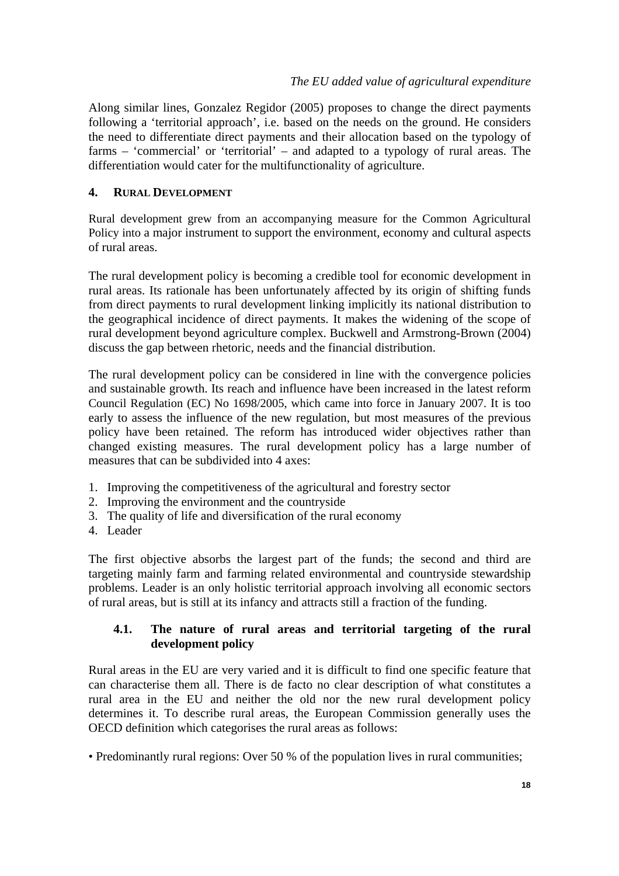<span id="page-17-0"></span>Along similar lines, Gonzalez Regidor (2005) proposes to change the direct payments following a 'territorial approach', i.e. based on the needs on the ground. He considers the need to differentiate direct payments and their allocation based on the typology of farms – 'commercial' or 'territorial' – and adapted to a typology of rural areas. The differentiation would cater for the multifunctionality of agriculture.

## **4. RURAL DEVELOPMENT**

Rural development grew from an accompanying measure for the Common Agricultural Policy into a major instrument to support the environment, economy and cultural aspects of rural areas.

The rural development policy is becoming a credible tool for economic development in rural areas. Its rationale has been unfortunately affected by its origin of shifting funds from direct payments to rural development linking implicitly its national distribution to the geographical incidence of direct payments. It makes the widening of the scope of rural development beyond agriculture complex. Buckwell and Armstrong-Brown (2004) discuss the gap between rhetoric, needs and the financial distribution.

The rural development policy can be considered in line with the convergence policies and sustainable growth. Its reach and influence have been increased in the latest reform Council Regulation (EC) No 1698/2005, which came into force in January 2007. It is too early to assess the influence of the new regulation, but most measures of the previous policy have been retained. The reform has introduced wider objectives rather than changed existing measures. The rural development policy has a large number of measures that can be subdivided into 4 axes:

- 1. Improving the competitiveness of the agricultural and forestry sector
- 2. Improving the environment and the countryside
- 3. The quality of life and diversification of the rural economy
- 4. Leader

The first objective absorbs the largest part of the funds; the second and third are targeting mainly farm and farming related environmental and countryside stewardship problems. Leader is an only holistic territorial approach involving all economic sectors of rural areas, but is still at its infancy and attracts still a fraction of the funding.

### **4.1. The nature of rural areas and territorial targeting of the rural development policy**

Rural areas in the EU are very varied and it is difficult to find one specific feature that can characterise them all. There is de facto no clear description of what constitutes a rural area in the EU and neither the old nor the new rural development policy determines it. To describe rural areas, the European Commission generally uses the OECD definition which categorises the rural areas as follows:

• Predominantly rural regions: Over 50 % of the population lives in rural communities;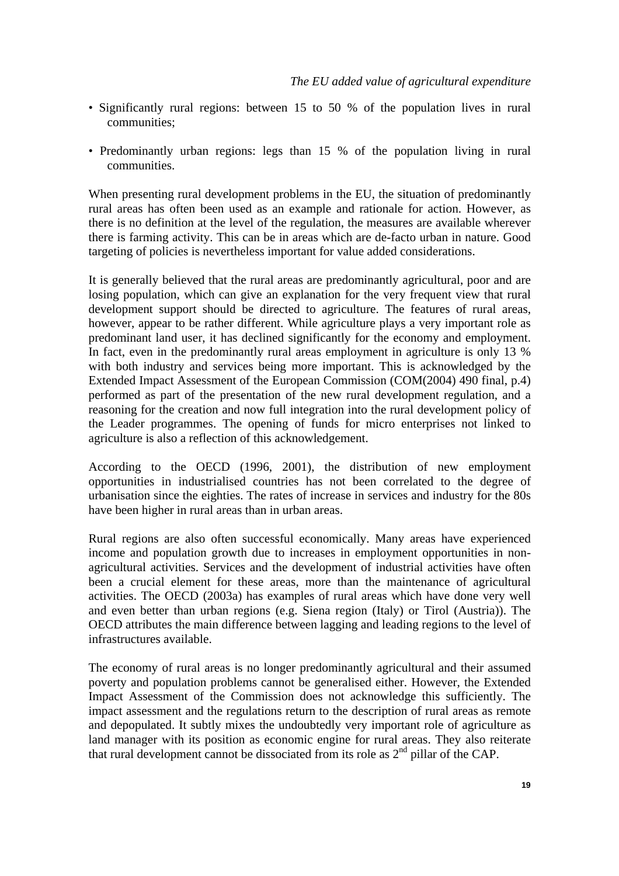- Significantly rural regions: between 15 to 50 % of the population lives in rural communities;
- Predominantly urban regions: legs than 15 % of the population living in rural communities.

When presenting rural development problems in the EU, the situation of predominantly rural areas has often been used as an example and rationale for action. However, as there is no definition at the level of the regulation, the measures are available wherever there is farming activity. This can be in areas which are de-facto urban in nature. Good targeting of policies is nevertheless important for value added considerations.

It is generally believed that the rural areas are predominantly agricultural, poor and are losing population, which can give an explanation for the very frequent view that rural development support should be directed to agriculture. The features of rural areas, however, appear to be rather different. While agriculture plays a very important role as predominant land user, it has declined significantly for the economy and employment. In fact, even in the predominantly rural areas employment in agriculture is only 13 % with both industry and services being more important. This is acknowledged by the Extended Impact Assessment of the European Commission (COM(2004) 490 final, p.4) performed as part of the presentation of the new rural development regulation, and a reasoning for the creation and now full integration into the rural development policy of the Leader programmes. The opening of funds for micro enterprises not linked to agriculture is also a reflection of this acknowledgement.

According to the OECD (1996, 2001), the distribution of new employment opportunities in industrialised countries has not been correlated to the degree of urbanisation since the eighties. The rates of increase in services and industry for the 80s have been higher in rural areas than in urban areas.

Rural regions are also often successful economically. Many areas have experienced income and population growth due to increases in employment opportunities in nonagricultural activities. Services and the development of industrial activities have often been a crucial element for these areas, more than the maintenance of agricultural activities. The OECD (2003a) has examples of rural areas which have done very well and even better than urban regions (e.g. Siena region (Italy) or Tirol (Austria)). The OECD attributes the main difference between lagging and leading regions to the level of infrastructures available.

The economy of rural areas is no longer predominantly agricultural and their assumed poverty and population problems cannot be generalised either. However, the Extended Impact Assessment of the Commission does not acknowledge this sufficiently. The impact assessment and the regulations return to the description of rural areas as remote and depopulated. It subtly mixes the undoubtedly very important role of agriculture as land manager with its position as economic engine for rural areas. They also reiterate that rural development cannot be dissociated from its role as 2nd pillar of the CAP.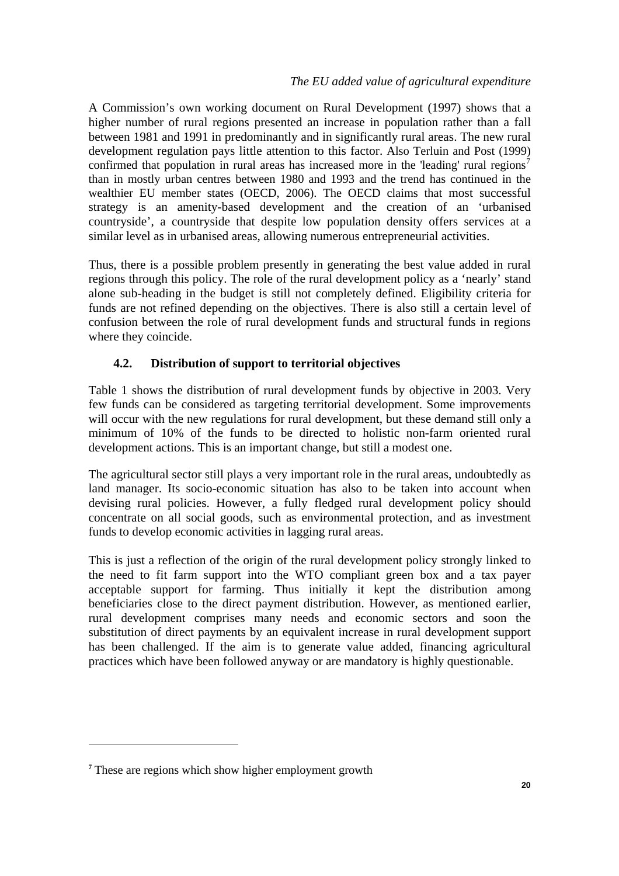<span id="page-19-0"></span>A Commission's own working document on Rural Development (1997) shows that a higher number of rural regions presented an increase in population rather than a fall between 1981 and 1991 in predominantly and in significantly rural areas. The new rural development regulation pays little attention to this factor. Also Terluin and Post (1999) confirmed that population in rural areas has increased more in the 'leading' rural regions<sup>[7](#page-19-0)</sup> than in mostly urban centres between 1980 and 1993 and the trend has continued in the wealthier EU member states (OECD, 2006). The OECD claims that most successful strategy is an amenity-based development and the creation of an 'urbanised countryside', a countryside that despite low population density offers services at a similar level as in urbanised areas, allowing numerous entrepreneurial activities.

Thus, there is a possible problem presently in generating the best value added in rural regions through this policy. The role of the rural development policy as a 'nearly' stand alone sub-heading in the budget is still not completely defined. Eligibility criteria for funds are not refined depending on the objectives. There is also still a certain level of confusion between the role of rural development funds and structural funds in regions where they coincide.

## **4.2. Distribution of support to territorial objectives**

Table 1 shows the distribution of rural development funds by objective in 2003. Very few funds can be considered as targeting territorial development. Some improvements will occur with the new regulations for rural development, but these demand still only a minimum of 10% of the funds to be directed to holistic non-farm oriented rural development actions. This is an important change, but still a modest one.

The agricultural sector still plays a very important role in the rural areas, undoubtedly as land manager. Its socio-economic situation has also to be taken into account when devising rural policies. However, a fully fledged rural development policy should concentrate on all social goods, such as environmental protection, and as investment funds to develop economic activities in lagging rural areas.

This is just a reflection of the origin of the rural development policy strongly linked to the need to fit farm support into the WTO compliant green box and a tax payer acceptable support for farming. Thus initially it kept the distribution among beneficiaries close to the direct payment distribution. However, as mentioned earlier, rural development comprises many needs and economic sectors and soon the substitution of direct payments by an equivalent increase in rural development support has been challenged. If the aim is to generate value added, financing agricultural practices which have been followed anyway or are mandatory is highly questionable.

**<sup>7</sup>** These are regions which show higher employment growth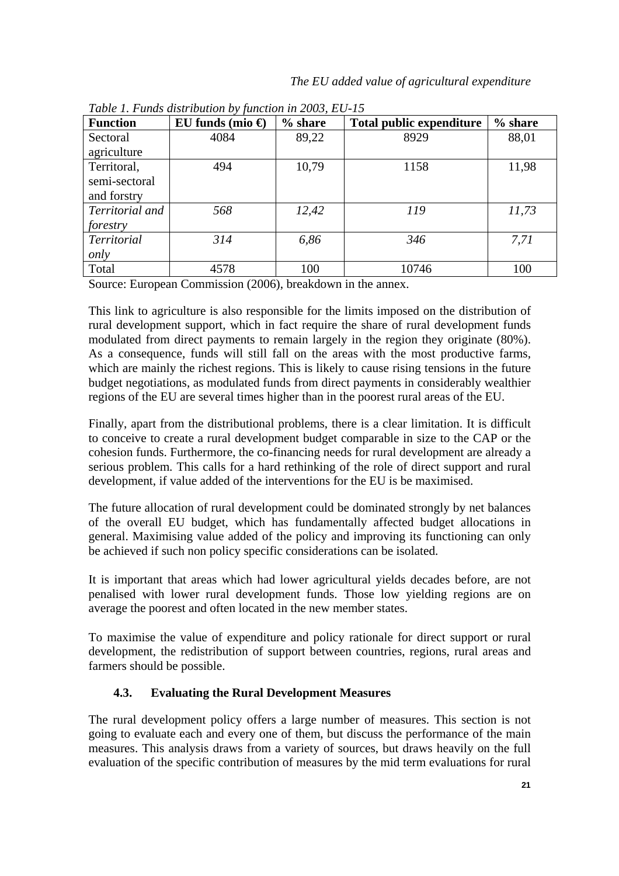| <b>Function</b>    | EU funds (mio $\Theta$ | % share | <b>Total public expenditure</b> | % share |  |
|--------------------|------------------------|---------|---------------------------------|---------|--|
| Sectoral           | 4084                   | 89,22   | 8929                            | 88,01   |  |
| agriculture        |                        |         |                                 |         |  |
| Territoral,        | 494                    | 10,79   | 1158                            | 11,98   |  |
| semi-sectoral      |                        |         |                                 |         |  |
| and forstry        |                        |         |                                 |         |  |
| Territorial and    | 568                    | 12,42   | 119                             | 11,73   |  |
| forestry           |                        |         |                                 |         |  |
| <b>Territorial</b> | 314                    | 6,86    | 346                             | 7,71    |  |
| only               |                        |         |                                 |         |  |
| Total              | 4578                   | 100     | 10746                           | 100     |  |

<span id="page-20-0"></span>*Table 1. Funds distribution by function in 2003, EU-15* 

Source: European Commission (2006), breakdown in the annex.

This link to agriculture is also responsible for the limits imposed on the distribution of rural development support, which in fact require the share of rural development funds modulated from direct payments to remain largely in the region they originate (80%). As a consequence, funds will still fall on the areas with the most productive farms, which are mainly the richest regions. This is likely to cause rising tensions in the future budget negotiations, as modulated funds from direct payments in considerably wealthier regions of the EU are several times higher than in the poorest rural areas of the EU.

Finally, apart from the distributional problems, there is a clear limitation. It is difficult to conceive to create a rural development budget comparable in size to the CAP or the cohesion funds. Furthermore, the co-financing needs for rural development are already a serious problem. This calls for a hard rethinking of the role of direct support and rural development, if value added of the interventions for the EU is be maximised.

The future allocation of rural development could be dominated strongly by net balances of the overall EU budget, which has fundamentally affected budget allocations in general. Maximising value added of the policy and improving its functioning can only be achieved if such non policy specific considerations can be isolated.

It is important that areas which had lower agricultural yields decades before, are not penalised with lower rural development funds. Those low yielding regions are on average the poorest and often located in the new member states.

To maximise the value of expenditure and policy rationale for direct support or rural development, the redistribution of support between countries, regions, rural areas and farmers should be possible.

## **4.3. Evaluating the Rural Development Measures**

The rural development policy offers a large number of measures. This section is not going to evaluate each and every one of them, but discuss the performance of the main measures. This analysis draws from a variety of sources, but draws heavily on the full evaluation of the specific contribution of measures by the mid term evaluations for rural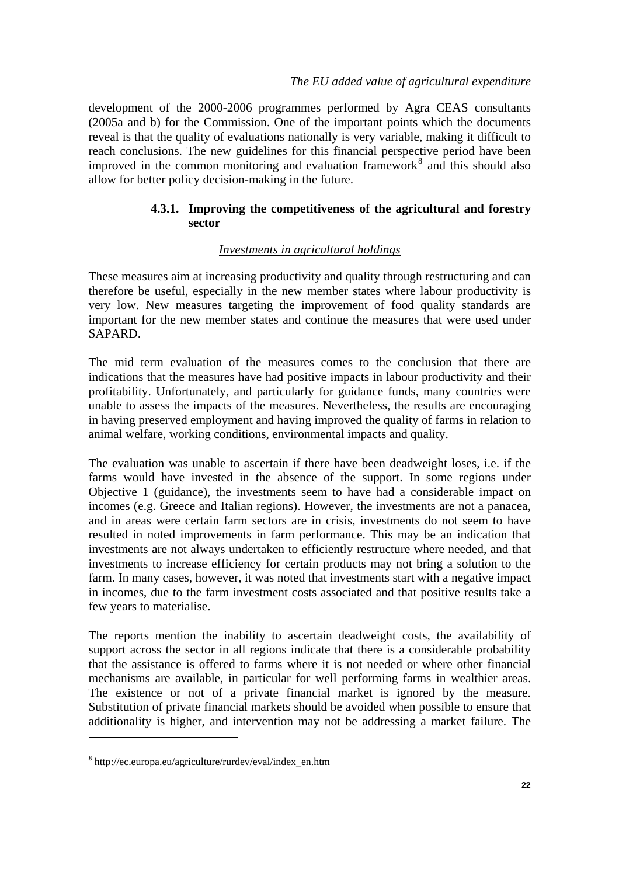<span id="page-21-0"></span>development of the 2000-2006 programmes performed by Agra CEAS consultants (2005a and b) for the Commission. One of the important points which the documents reveal is that the quality of evaluations nationally is very variable, making it difficult to reach conclusions. The new guidelines for this financial perspective period have been improved in the common monitoring and evaluation framework $\delta$  and this should also allow for better policy decision-making in the future.

## **4.3.1. Improving the competitiveness of the agricultural and forestry sector**

### *Investments in agricultural holdings*

These measures aim at increasing productivity and quality through restructuring and can therefore be useful, especially in the new member states where labour productivity is very low. New measures targeting the improvement of food quality standards are important for the new member states and continue the measures that were used under SAPARD.

The mid term evaluation of the measures comes to the conclusion that there are indications that the measures have had positive impacts in labour productivity and their profitability. Unfortunately, and particularly for guidance funds, many countries were unable to assess the impacts of the measures. Nevertheless, the results are encouraging in having preserved employment and having improved the quality of farms in relation to animal welfare, working conditions, environmental impacts and quality.

The evaluation was unable to ascertain if there have been deadweight loses, i.e. if the farms would have invested in the absence of the support. In some regions under Objective 1 (guidance), the investments seem to have had a considerable impact on incomes (e.g. Greece and Italian regions). However, the investments are not a panacea, and in areas were certain farm sectors are in crisis, investments do not seem to have resulted in noted improvements in farm performance. This may be an indication that investments are not always undertaken to efficiently restructure where needed, and that investments to increase efficiency for certain products may not bring a solution to the farm. In many cases, however, it was noted that investments start with a negative impact in incomes, due to the farm investment costs associated and that positive results take a few years to materialise.

The reports mention the inability to ascertain deadweight costs, the availability of support across the sector in all regions indicate that there is a considerable probability that the assistance is offered to farms where it is not needed or where other financial mechanisms are available, in particular for well performing farms in wealthier areas. The existence or not of a private financial market is ignored by the measure. Substitution of private financial markets should be avoided when possible to ensure that additionality is higher, and intervention may not be addressing a market failure. The

**<sup>8</sup>** http://ec.europa.eu/agriculture/rurdev/eval/index\_en.htm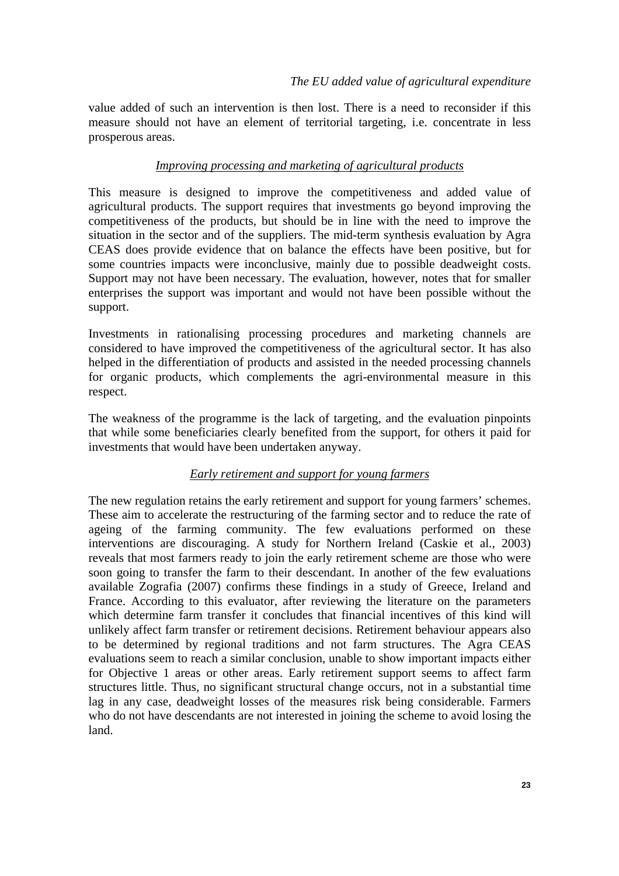value added of such an intervention is then lost. There is a need to reconsider if this measure should not have an element of territorial targeting, i.e. concentrate in less prosperous areas.

## *Improving processing and marketing of agricultural products*

This measure is designed to improve the competitiveness and added value of agricultural products. The support requires that investments go beyond improving the competitiveness of the products, but should be in line with the need to improve the situation in the sector and of the suppliers. The mid-term synthesis evaluation by Agra CEAS does provide evidence that on balance the effects have been positive, but for some countries impacts were inconclusive, mainly due to possible deadweight costs. Support may not have been necessary. The evaluation, however, notes that for smaller enterprises the support was important and would not have been possible without the support.

Investments in rationalising processing procedures and marketing channels are considered to have improved the competitiveness of the agricultural sector. It has also helped in the differentiation of products and assisted in the needed processing channels for organic products, which complements the agri-environmental measure in this respect.

The weakness of the programme is the lack of targeting, and the evaluation pinpoints that while some beneficiaries clearly benefited from the support, for others it paid for investments that would have been undertaken anyway.

## *Early retirement and support for young farmers*

The new regulation retains the early retirement and support for young farmers' schemes. These aim to accelerate the restructuring of the farming sector and to reduce the rate of ageing of the farming community. The few evaluations performed on these interventions are discouraging. A study for Northern Ireland (Caskie et al., 2003) reveals that most farmers ready to join the early retirement scheme are those who were soon going to transfer the farm to their descendant. In another of the few evaluations available Zografia (2007) confirms these findings in a study of Greece, Ireland and France. According to this evaluator, after reviewing the literature on the parameters which determine farm transfer it concludes that financial incentives of this kind will unlikely affect farm transfer or retirement decisions. Retirement behaviour appears also to be determined by regional traditions and not farm structures. The Agra CEAS evaluations seem to reach a similar conclusion, unable to show important impacts either for Objective 1 areas or other areas. Early retirement support seems to affect farm structures little. Thus, no significant structural change occurs, not in a substantial time lag in any case, deadweight losses of the measures risk being considerable. Farmers who do not have descendants are not interested in joining the scheme to avoid losing the land.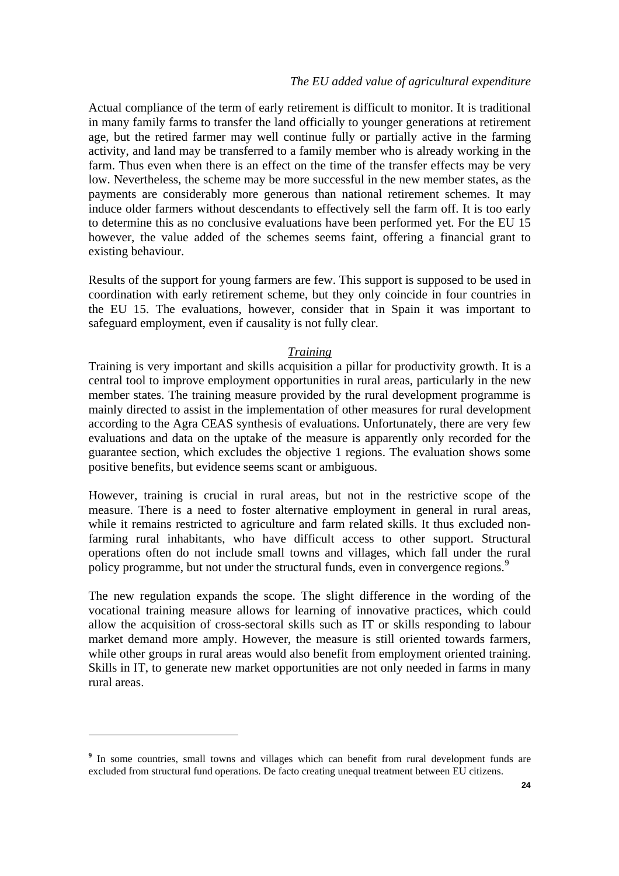#### *The EU added value of agricultural expenditure*

<span id="page-23-0"></span>Actual compliance of the term of early retirement is difficult to monitor. It is traditional in many family farms to transfer the land officially to younger generations at retirement age, but the retired farmer may well continue fully or partially active in the farming activity, and land may be transferred to a family member who is already working in the farm. Thus even when there is an effect on the time of the transfer effects may be very low. Nevertheless, the scheme may be more successful in the new member states, as the payments are considerably more generous than national retirement schemes. It may induce older farmers without descendants to effectively sell the farm off. It is too early to determine this as no conclusive evaluations have been performed yet. For the EU 15 however, the value added of the schemes seems faint, offering a financial grant to existing behaviour.

Results of the support for young farmers are few. This support is supposed to be used in coordination with early retirement scheme, but they only coincide in four countries in the EU 15. The evaluations, however, consider that in Spain it was important to safeguard employment, even if causality is not fully clear.

#### *Training*

Training is very important and skills acquisition a pillar for productivity growth. It is a central tool to improve employment opportunities in rural areas, particularly in the new member states. The training measure provided by the rural development programme is mainly directed to assist in the implementation of other measures for rural development according to the Agra CEAS synthesis of evaluations. Unfortunately, there are very few evaluations and data on the uptake of the measure is apparently only recorded for the guarantee section, which excludes the objective 1 regions. The evaluation shows some positive benefits, but evidence seems scant or ambiguous.

However, training is crucial in rural areas, but not in the restrictive scope of the measure. There is a need to foster alternative employment in general in rural areas, while it remains restricted to agriculture and farm related skills. It thus excluded nonfarming rural inhabitants, who have difficult access to other support. Structural operations often do not include small towns and villages, which fall under the rural policy programme, but not under the structural funds, even in convergence regions.<sup>[9](#page-23-0)</sup>

The new regulation expands the scope. The slight difference in the wording of the vocational training measure allows for learning of innovative practices, which could allow the acquisition of cross-sectoral skills such as IT or skills responding to labour market demand more amply. However, the measure is still oriented towards farmers, while other groups in rural areas would also benefit from employment oriented training. Skills in IT, to generate new market opportunities are not only needed in farms in many rural areas.

<sup>&</sup>lt;sup>9</sup> In some countries, small towns and villages which can benefit from rural development funds are excluded from structural fund operations. De facto creating unequal treatment between EU citizens.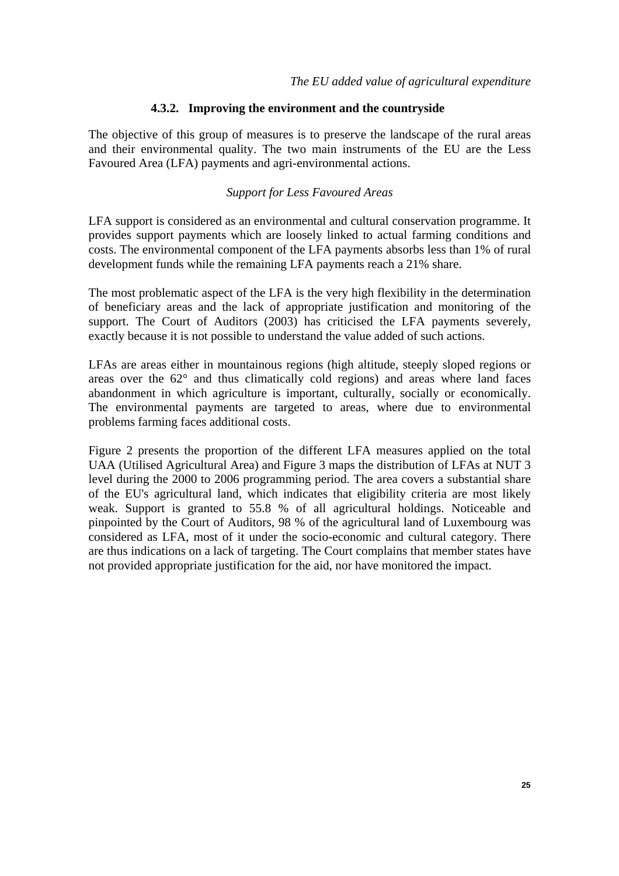#### **4.3.2. Improving the environment and the countryside**

<span id="page-24-0"></span>The objective of this group of measures is to preserve the landscape of the rural areas and their environmental quality. The two main instruments of the EU are the Less Favoured Area (LFA) payments and agri-environmental actions.

#### *Support for Less Favoured Areas*

LFA support is considered as an environmental and cultural conservation programme. It provides support payments which are loosely linked to actual farming conditions and costs. The environmental component of the LFA payments absorbs less than 1% of rural development funds while the remaining LFA payments reach a 21% share.

The most problematic aspect of the LFA is the very high flexibility in the determination of beneficiary areas and the lack of appropriate justification and monitoring of the support. The Court of Auditors (2003) has criticised the LFA payments severely, exactly because it is not possible to understand the value added of such actions.

LFAs are areas either in mountainous regions (high altitude, steeply sloped regions or areas over the 62° and thus climatically cold regions) and areas where land faces abandonment in which agriculture is important, culturally, socially or economically. The environmental payments are targeted to areas, where due to environmental problems farming faces additional costs.

Figure 2 presents the proportion of the different LFA measures applied on the total UAA (Utilised Agricultural Area) and Figure 3 maps the distribution of LFAs at NUT 3 level during the 2000 to 2006 programming period. The area covers a substantial share of the EU's agricultural land, which indicates that eligibility criteria are most likely weak. Support is granted to 55.8 % of all agricultural holdings. Noticeable and pinpointed by the Court of Auditors, 98 % of the agricultural land of Luxembourg was considered as LFA, most of it under the socio-economic and cultural category. There are thus indications on a lack of targeting. The Court complains that member states have not provided appropriate justification for the aid, nor have monitored the impact.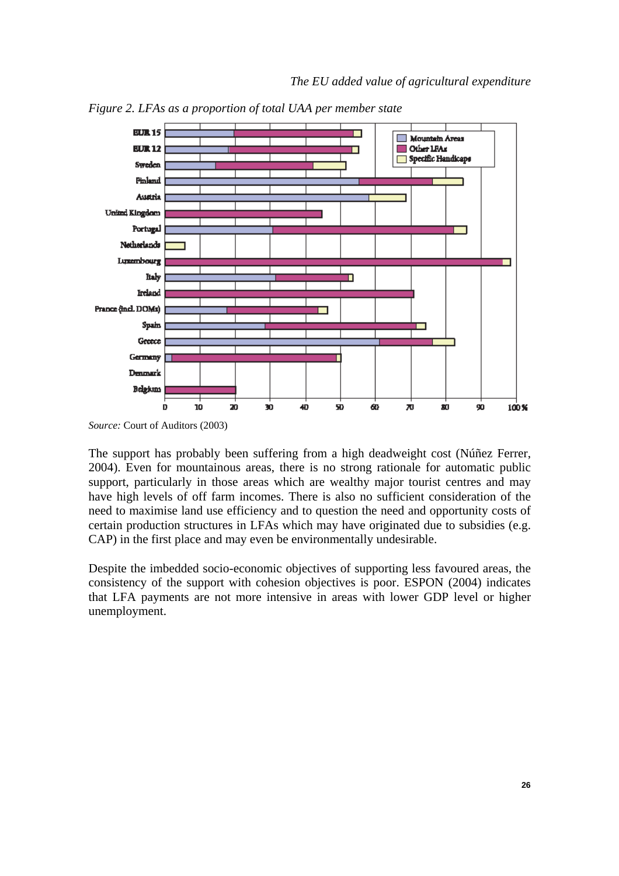

*Figure 2. LFAs as a proportion of total UAA per member state* 

The support has probably been suffering from a high deadweight cost (Núñez Ferrer, 2004). Even for mountainous areas, there is no strong rationale for automatic public support, particularly in those areas which are wealthy major tourist centres and may have high levels of off farm incomes. There is also no sufficient consideration of the need to maximise land use efficiency and to question the need and opportunity costs of certain production structures in LFAs which may have originated due to subsidies (e.g. CAP) in the first place and may even be environmentally undesirable.

Despite the imbedded socio-economic objectives of supporting less favoured areas, the consistency of the support with cohesion objectives is poor. ESPON (2004) indicates that LFA payments are not more intensive in areas with lower GDP level or higher unemployment.

*Source:* Court of Auditors (2003)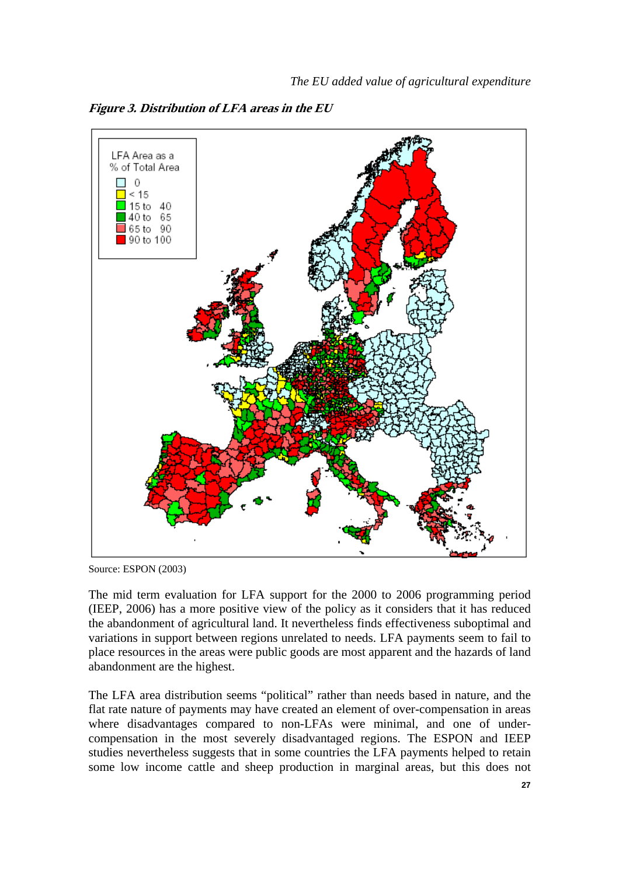

**Figure 3. Distribution of LFA areas in the EU** 

Source: ESPON (2003)

The mid term evaluation for LFA support for the 2000 to 2006 programming period (IEEP, 2006) has a more positive view of the policy as it considers that it has reduced the abandonment of agricultural land. It nevertheless finds effectiveness suboptimal and variations in support between regions unrelated to needs. LFA payments seem to fail to place resources in the areas were public goods are most apparent and the hazards of land abandonment are the highest.

The LFA area distribution seems "political" rather than needs based in nature, and the flat rate nature of payments may have created an element of over-compensation in areas where disadvantages compared to non-LFAs were minimal, and one of undercompensation in the most severely disadvantaged regions. The ESPON and IEEP studies nevertheless suggests that in some countries the LFA payments helped to retain some low income cattle and sheep production in marginal areas, but this does not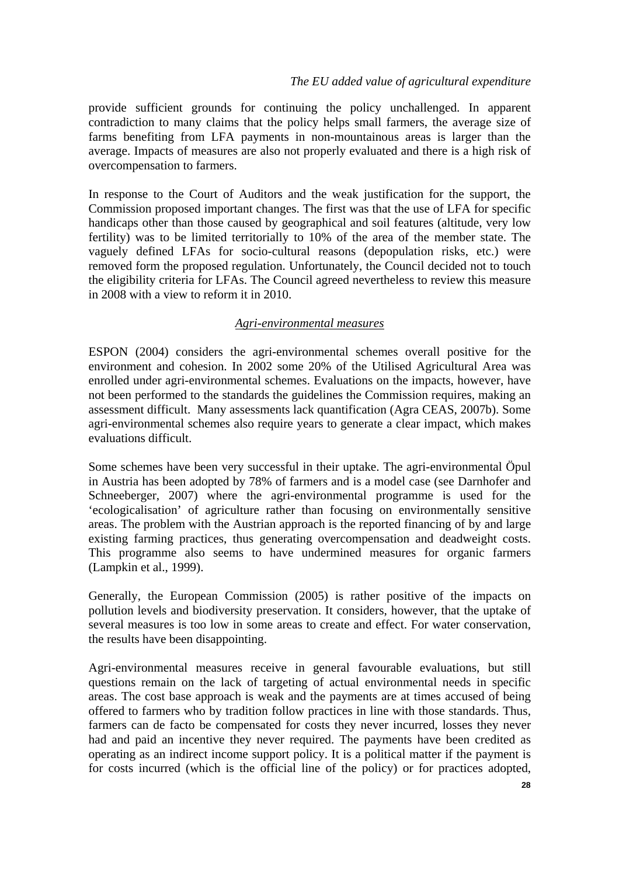provide sufficient grounds for continuing the policy unchallenged. In apparent contradiction to many claims that the policy helps small farmers, the average size of farms benefiting from LFA payments in non-mountainous areas is larger than the average. Impacts of measures are also not properly evaluated and there is a high risk of overcompensation to farmers.

In response to the Court of Auditors and the weak justification for the support, the Commission proposed important changes. The first was that the use of LFA for specific handicaps other than those caused by geographical and soil features (altitude, very low fertility) was to be limited territorially to 10% of the area of the member state. The vaguely defined LFAs for socio-cultural reasons (depopulation risks, etc.) were removed form the proposed regulation. Unfortunately, the Council decided not to touch the eligibility criteria for LFAs. The Council agreed nevertheless to review this measure in 2008 with a view to reform it in 2010.

## *Agri-environmental measures*

ESPON (2004) considers the agri-environmental schemes overall positive for the environment and cohesion. In 2002 some 20% of the Utilised Agricultural Area was enrolled under agri-environmental schemes. Evaluations on the impacts, however, have not been performed to the standards the guidelines the Commission requires, making an assessment difficult. Many assessments lack quantification (Agra CEAS, 2007b). Some agri-environmental schemes also require years to generate a clear impact, which makes evaluations difficult.

Some schemes have been very successful in their uptake. The agri-environmental Öpul in Austria has been adopted by 78% of farmers and is a model case (see Darnhofer and Schneeberger, 2007) where the agri-environmental programme is used for the 'ecologicalisation' of agriculture rather than focusing on environmentally sensitive areas. The problem with the Austrian approach is the reported financing of by and large existing farming practices, thus generating overcompensation and deadweight costs. This programme also seems to have undermined measures for organic farmers (Lampkin et al., 1999).

Generally, the European Commission (2005) is rather positive of the impacts on pollution levels and biodiversity preservation. It considers, however, that the uptake of several measures is too low in some areas to create and effect. For water conservation, the results have been disappointing.

Agri-environmental measures receive in general favourable evaluations, but still questions remain on the lack of targeting of actual environmental needs in specific areas. The cost base approach is weak and the payments are at times accused of being offered to farmers who by tradition follow practices in line with those standards. Thus, farmers can de facto be compensated for costs they never incurred, losses they never had and paid an incentive they never required. The payments have been credited as operating as an indirect income support policy. It is a political matter if the payment is for costs incurred (which is the official line of the policy) or for practices adopted,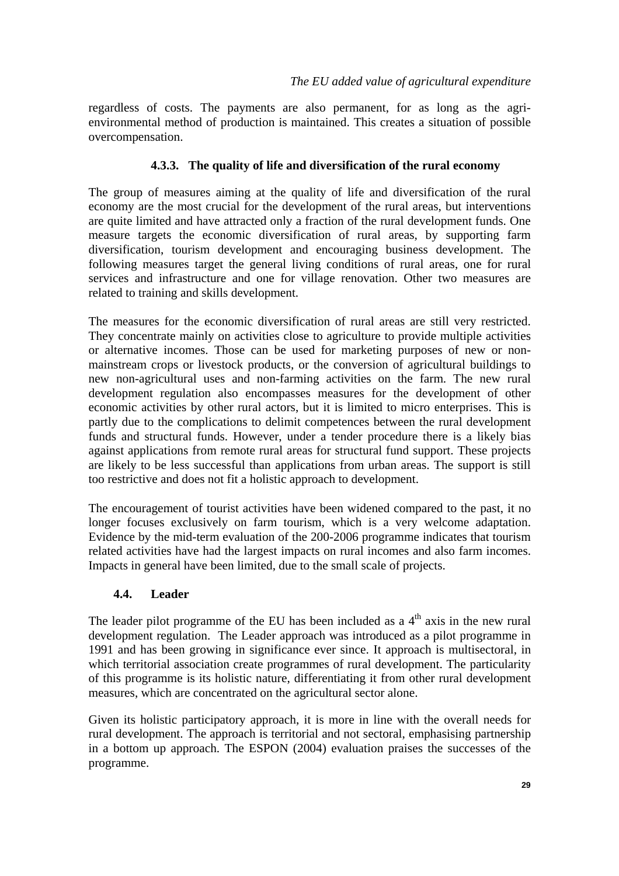<span id="page-28-0"></span>regardless of costs. The payments are also permanent, for as long as the agrienvironmental method of production is maintained. This creates a situation of possible overcompensation.

### **4.3.3. The quality of life and diversification of the rural economy**

The group of measures aiming at the quality of life and diversification of the rural economy are the most crucial for the development of the rural areas, but interventions are quite limited and have attracted only a fraction of the rural development funds. One measure targets the economic diversification of rural areas, by supporting farm diversification, tourism development and encouraging business development. The following measures target the general living conditions of rural areas, one for rural services and infrastructure and one for village renovation. Other two measures are related to training and skills development.

The measures for the economic diversification of rural areas are still very restricted. They concentrate mainly on activities close to agriculture to provide multiple activities or alternative incomes. Those can be used for marketing purposes of new or nonmainstream crops or livestock products, or the conversion of agricultural buildings to new non-agricultural uses and non-farming activities on the farm. The new rural development regulation also encompasses measures for the development of other economic activities by other rural actors, but it is limited to micro enterprises. This is partly due to the complications to delimit competences between the rural development funds and structural funds. However, under a tender procedure there is a likely bias against applications from remote rural areas for structural fund support. These projects are likely to be less successful than applications from urban areas. The support is still too restrictive and does not fit a holistic approach to development.

The encouragement of tourist activities have been widened compared to the past, it no longer focuses exclusively on farm tourism, which is a very welcome adaptation. Evidence by the mid-term evaluation of the 200-2006 programme indicates that tourism related activities have had the largest impacts on rural incomes and also farm incomes. Impacts in general have been limited, due to the small scale of projects.

#### **4.4. Leader**

The leader pilot programme of the EU has been included as a  $4<sup>th</sup>$  axis in the new rural development regulation. The Leader approach was introduced as a pilot programme in 1991 and has been growing in significance ever since. It approach is multisectoral, in which territorial association create programmes of rural development. The particularity of this programme is its holistic nature, differentiating it from other rural development measures, which are concentrated on the agricultural sector alone.

Given its holistic participatory approach, it is more in line with the overall needs for rural development. The approach is territorial and not sectoral, emphasising partnership in a bottom up approach. The ESPON (2004) evaluation praises the successes of the programme.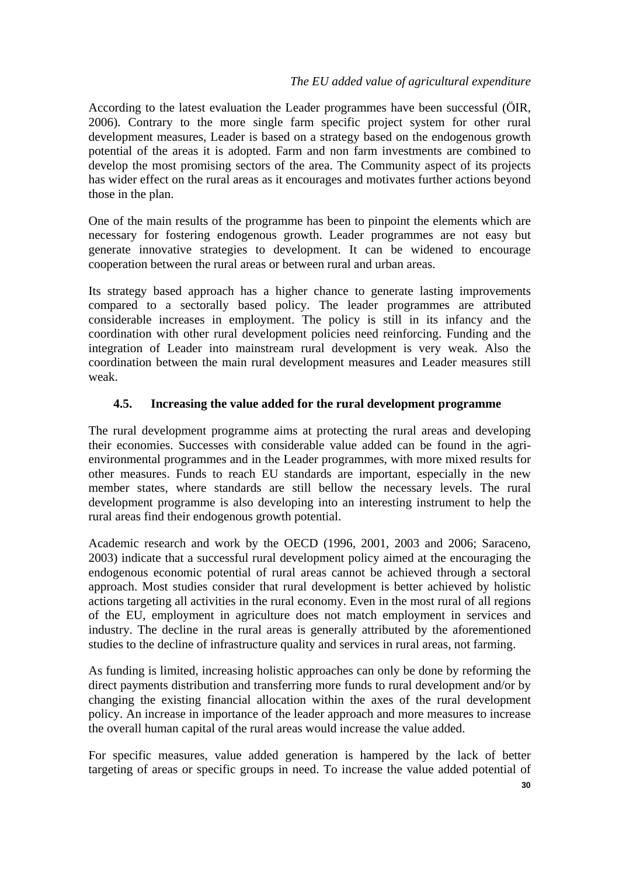## *The EU added value of agricultural expenditure*

<span id="page-29-0"></span>According to the latest evaluation the Leader programmes have been successful (ÖIR, 2006). Contrary to the more single farm specific project system for other rural development measures, Leader is based on a strategy based on the endogenous growth potential of the areas it is adopted. Farm and non farm investments are combined to develop the most promising sectors of the area. The Community aspect of its projects has wider effect on the rural areas as it encourages and motivates further actions beyond those in the plan.

One of the main results of the programme has been to pinpoint the elements which are necessary for fostering endogenous growth. Leader programmes are not easy but generate innovative strategies to development. It can be widened to encourage cooperation between the rural areas or between rural and urban areas.

Its strategy based approach has a higher chance to generate lasting improvements compared to a sectorally based policy. The leader programmes are attributed considerable increases in employment. The policy is still in its infancy and the coordination with other rural development policies need reinforcing. Funding and the integration of Leader into mainstream rural development is very weak. Also the coordination between the main rural development measures and Leader measures still weak.

## **4.5. Increasing the value added for the rural development programme**

The rural development programme aims at protecting the rural areas and developing their economies. Successes with considerable value added can be found in the agrienvironmental programmes and in the Leader programmes, with more mixed results for other measures. Funds to reach EU standards are important, especially in the new member states, where standards are still bellow the necessary levels. The rural development programme is also developing into an interesting instrument to help the rural areas find their endogenous growth potential.

Academic research and work by the OECD (1996, 2001, 2003 and 2006; Saraceno, 2003) indicate that a successful rural development policy aimed at the encouraging the endogenous economic potential of rural areas cannot be achieved through a sectoral approach. Most studies consider that rural development is better achieved by holistic actions targeting all activities in the rural economy. Even in the most rural of all regions of the EU, employment in agriculture does not match employment in services and industry. The decline in the rural areas is generally attributed by the aforementioned studies to the decline of infrastructure quality and services in rural areas, not farming.

As funding is limited, increasing holistic approaches can only be done by reforming the direct payments distribution and transferring more funds to rural development and/or by changing the existing financial allocation within the axes of the rural development policy. An increase in importance of the leader approach and more measures to increase the overall human capital of the rural areas would increase the value added.

For specific measures, value added generation is hampered by the lack of better targeting of areas or specific groups in need. To increase the value added potential of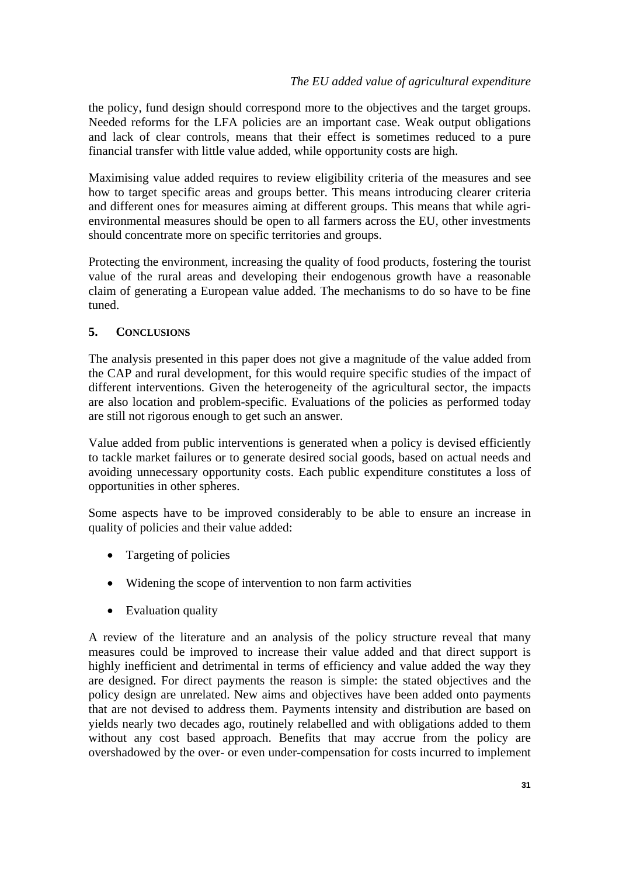<span id="page-30-0"></span>the policy, fund design should correspond more to the objectives and the target groups. Needed reforms for the LFA policies are an important case. Weak output obligations and lack of clear controls, means that their effect is sometimes reduced to a pure financial transfer with little value added, while opportunity costs are high.

Maximising value added requires to review eligibility criteria of the measures and see how to target specific areas and groups better. This means introducing clearer criteria and different ones for measures aiming at different groups. This means that while agrienvironmental measures should be open to all farmers across the EU, other investments should concentrate more on specific territories and groups.

Protecting the environment, increasing the quality of food products, fostering the tourist value of the rural areas and developing their endogenous growth have a reasonable claim of generating a European value added. The mechanisms to do so have to be fine tuned.

### **5. CONCLUSIONS**

The analysis presented in this paper does not give a magnitude of the value added from the CAP and rural development, for this would require specific studies of the impact of different interventions. Given the heterogeneity of the agricultural sector, the impacts are also location and problem-specific. Evaluations of the policies as performed today are still not rigorous enough to get such an answer.

Value added from public interventions is generated when a policy is devised efficiently to tackle market failures or to generate desired social goods, based on actual needs and avoiding unnecessary opportunity costs. Each public expenditure constitutes a loss of opportunities in other spheres.

Some aspects have to be improved considerably to be able to ensure an increase in quality of policies and their value added:

- Targeting of policies
- Widening the scope of intervention to non farm activities
- Evaluation quality

A review of the literature and an analysis of the policy structure reveal that many measures could be improved to increase their value added and that direct support is highly inefficient and detrimental in terms of efficiency and value added the way they are designed. For direct payments the reason is simple: the stated objectives and the policy design are unrelated. New aims and objectives have been added onto payments that are not devised to address them. Payments intensity and distribution are based on yields nearly two decades ago, routinely relabelled and with obligations added to them without any cost based approach. Benefits that may accrue from the policy are overshadowed by the over- or even under-compensation for costs incurred to implement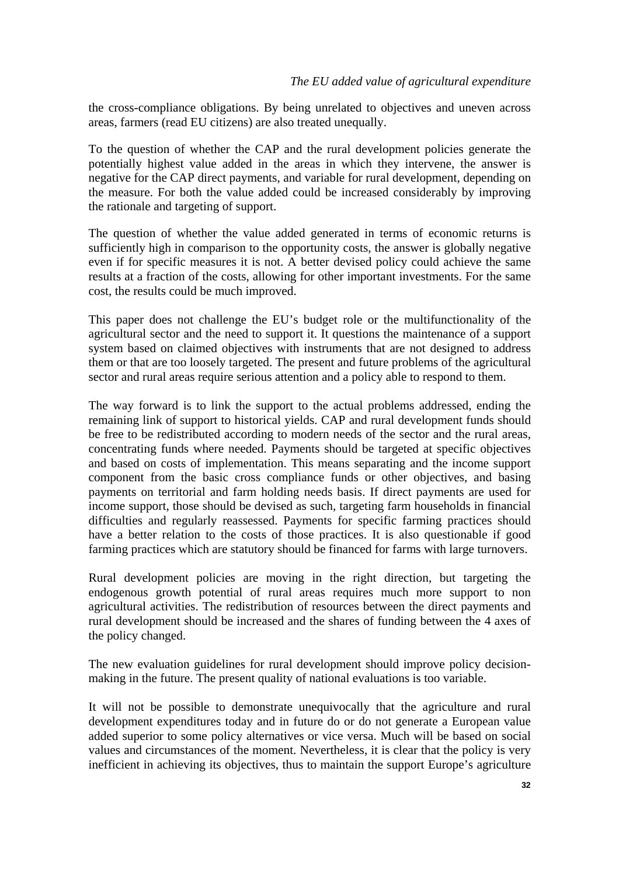the cross-compliance obligations. By being unrelated to objectives and uneven across areas, farmers (read EU citizens) are also treated unequally.

To the question of whether the CAP and the rural development policies generate the potentially highest value added in the areas in which they intervene, the answer is negative for the CAP direct payments, and variable for rural development, depending on the measure. For both the value added could be increased considerably by improving the rationale and targeting of support.

The question of whether the value added generated in terms of economic returns is sufficiently high in comparison to the opportunity costs, the answer is globally negative even if for specific measures it is not. A better devised policy could achieve the same results at a fraction of the costs, allowing for other important investments. For the same cost, the results could be much improved.

This paper does not challenge the EU's budget role or the multifunctionality of the agricultural sector and the need to support it. It questions the maintenance of a support system based on claimed objectives with instruments that are not designed to address them or that are too loosely targeted. The present and future problems of the agricultural sector and rural areas require serious attention and a policy able to respond to them.

The way forward is to link the support to the actual problems addressed, ending the remaining link of support to historical yields. CAP and rural development funds should be free to be redistributed according to modern needs of the sector and the rural areas, concentrating funds where needed. Payments should be targeted at specific objectives and based on costs of implementation. This means separating and the income support component from the basic cross compliance funds or other objectives, and basing payments on territorial and farm holding needs basis. If direct payments are used for income support, those should be devised as such, targeting farm households in financial difficulties and regularly reassessed. Payments for specific farming practices should have a better relation to the costs of those practices. It is also questionable if good farming practices which are statutory should be financed for farms with large turnovers.

Rural development policies are moving in the right direction, but targeting the endogenous growth potential of rural areas requires much more support to non agricultural activities. The redistribution of resources between the direct payments and rural development should be increased and the shares of funding between the 4 axes of the policy changed.

The new evaluation guidelines for rural development should improve policy decisionmaking in the future. The present quality of national evaluations is too variable.

It will not be possible to demonstrate unequivocally that the agriculture and rural development expenditures today and in future do or do not generate a European value added superior to some policy alternatives or vice versa. Much will be based on social values and circumstances of the moment. Nevertheless, it is clear that the policy is very inefficient in achieving its objectives, thus to maintain the support Europe's agriculture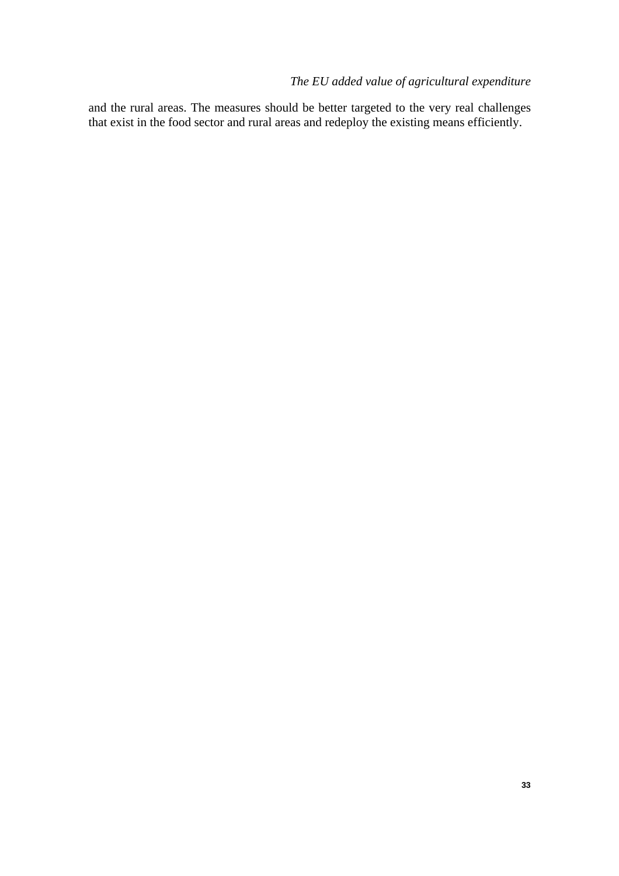and the rural areas. The measures should be better targeted to the very real challenges that exist in the food sector and rural areas and redeploy the existing means efficiently.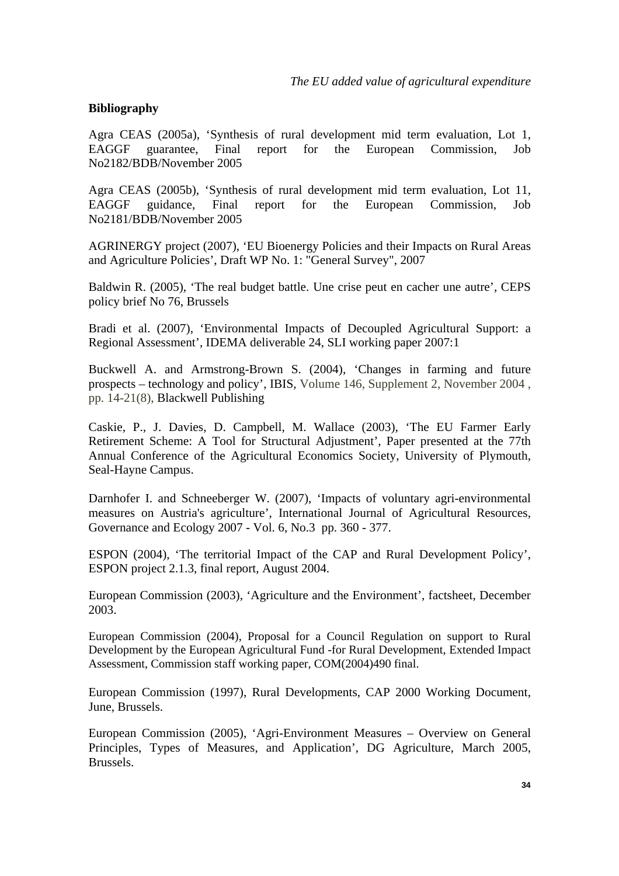#### **Bibliography**

Agra CEAS (2005a), 'Synthesis of rural development mid term evaluation, Lot 1, EAGGF guarantee, Final report for the European Commission, Job No2182/BDB/November 2005

Agra CEAS (2005b), 'Synthesis of rural development mid term evaluation, Lot 11, EAGGF guidance, Final report for the European Commission, Job No2181/BDB/November 2005

AGRINERGY project (2007), 'EU Bioenergy Policies and their Impacts on Rural Areas and Agriculture Policies', Draft WP No. 1: "General Survey", 2007

Baldwin R. (2005), 'The real budget battle. Une crise peut en cacher une autre', CEPS policy brief No 76, Brussels

Bradi et al. (2007), 'Environmental Impacts of Decoupled Agricultural Support: a Regional Assessment', IDEMA deliverable 24, SLI working paper 2007:1

Buckwell A. and Armstrong-Brown S. (2004), 'Changes in farming and future prospects – technology and policy', IBIS, Volume 146, Supplement 2, November 2004 , pp. 14-21(8), Blackwell Publishing

Caskie, P., J. Davies, D. Campbell, M. Wallace (2003), 'The EU Farmer Early Retirement Scheme: A Tool for Structural Adjustment', Paper presented at the 77th Annual Conference of the Agricultural Economics Society, University of Plymouth, Seal-Hayne Campus.

Darnhofer I. and Schneeberger W. (2007), 'Impacts of voluntary agri-environmental measures on Austria's agriculture', [International Journal of Agricultural Resources,](http://www.inderscience.com/browse/index.php?journalID=1&year=2007&vol=6&issue=3)  [Governance and Ecology 2007 - Vol. 6, No.3 pp. 360 - 377](http://www.inderscience.com/browse/index.php?journalID=1&year=2007&vol=6&issue=3).

ESPON (2004), 'The territorial Impact of the CAP and Rural Development Policy', ESPON project 2.1.3, final report, August 2004.

European Commission (2003), 'Agriculture and the Environment', factsheet, December 2003.

European Commission (2004), Proposal for a Council Regulation on support to Rural Development by the European Agricultural Fund -for Rural Development, Extended Impact Assessment, Commission staff working paper, COM(2004)490 final.

European Commission (1997), Rural Developments, CAP 2000 Working Document, June, Brussels.

European Commission (2005), 'Agri-Environment Measures – Overview on General Principles, Types of Measures, and Application', DG Agriculture, March 2005, Brussels.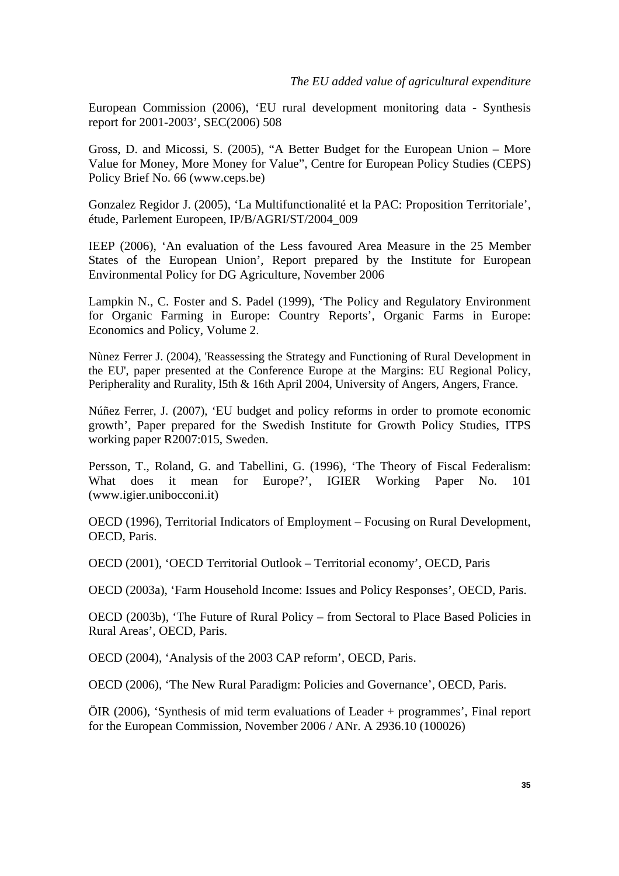European Commission (2006), 'EU rural development monitoring data - Synthesis report for 2001-2003', SEC(2006) 508

Gross, D. and Micossi, S. (2005), "A Better Budget for the European Union – More Value for Money, More Money for Value", Centre for European Policy Studies (CEPS) Policy Brief No. 66 (www.ceps.be)

Gonzalez Regidor J. (2005), 'La Multifunctionalité et la PAC: Proposition Territoriale', étude, Parlement Europeen, IP/B/AGRI/ST/2004\_009

IEEP (2006), 'An evaluation of the Less favoured Area Measure in the 25 Member States of the European Union', Report prepared by the Institute for European Environmental Policy for DG Agriculture, November 2006

Lampkin N., C. Foster and S. Padel (1999), 'The Policy and Regulatory Environment for Organic Farming in Europe: Country Reports', Organic Farms in Europe: Economics and Policy, Volume 2.

Nùnez Ferrer J. (2004), 'Reassessing the Strategy and Functioning of Rural Development in the EU', paper presented at the Conference Europe at the Margins: EU Regional Policy, Peripherality and Rurality, l5th & 16th April 2004, University of Angers, Angers, France.

Núñez Ferrer, J. (2007), 'EU budget and policy reforms in order to promote economic growth', Paper prepared for the Swedish Institute for Growth Policy Studies, ITPS working paper R2007:015, Sweden.

Persson, T., Roland, G. and Tabellini, G. (1996), 'The Theory of Fiscal Federalism: What does it mean for Europe?', IGIER Working Paper No. 101 (www.igier.unibocconi.it)

OECD (1996), Territorial Indicators of Employment – Focusing on Rural Development, OECD, Paris.

OECD (2001), 'OECD Territorial Outlook – Territorial economy', OECD, Paris

OECD (2003a), 'Farm Household Income: Issues and Policy Responses', OECD, Paris.

OECD (2003b), 'The Future of Rural Policy – from Sectoral to Place Based Policies in Rural Areas', OECD, Paris.

OECD (2004), 'Analysis of the 2003 CAP reform', OECD, Paris.

OECD (2006), 'The New Rural Paradigm: Policies and Governance', OECD, Paris.

ÖIR (2006), 'Synthesis of mid term evaluations of Leader + programmes', Final report for the European Commission, November 2006 / ANr. A 2936.10 (100026)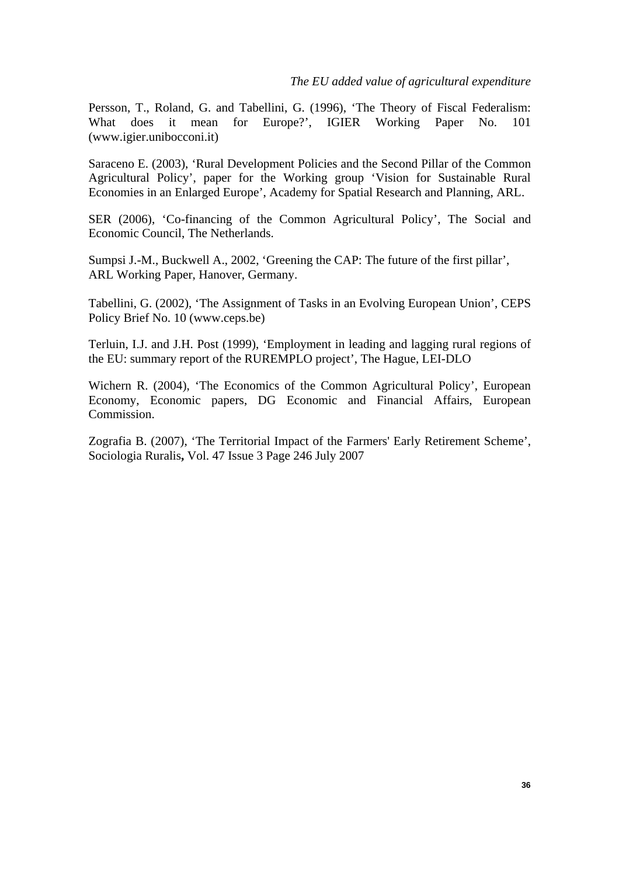Persson, T., Roland, G. and Tabellini, G. (1996), 'The Theory of Fiscal Federalism: What does it mean for Europe?', IGIER Working Paper No. 101 (www.igier.unibocconi.it)

Saraceno E. (2003), 'Rural Development Policies and the Second Pillar of the Common Agricultural Policy', paper for the Working group 'Vision for Sustainable Rural Economies in an Enlarged Europe', Academy for Spatial Research and Planning, ARL.

SER (2006), 'Co-financing of the Common Agricultural Policy', The Social and Economic Council, The Netherlands.

Sumpsi J.-M., Buckwell A., 2002, 'Greening the CAP: The future of the first pillar', ARL Working Paper, Hanover, Germany.

Tabellini, G. (2002), 'The Assignment of Tasks in an Evolving European Union', CEPS Policy Brief No. 10 (www.ceps.be)

Terluin, I.J. and J.H. Post (1999), 'Employment in leading and lagging rural regions of the EU: summary report of the RUREMPLO project', The Hague, LEI-DLO

Wichern R. (2004), 'The Economics of the Common Agricultural Policy', European Economy, Economic papers, DG Economic and Financial Affairs, European Commission.

Zografia B. (2007), 'The Territorial Impact of the Farmers' Early Retirement Scheme', Sociologia Ruralis**,** Vol. 47 Issue 3 Page 246 July 2007